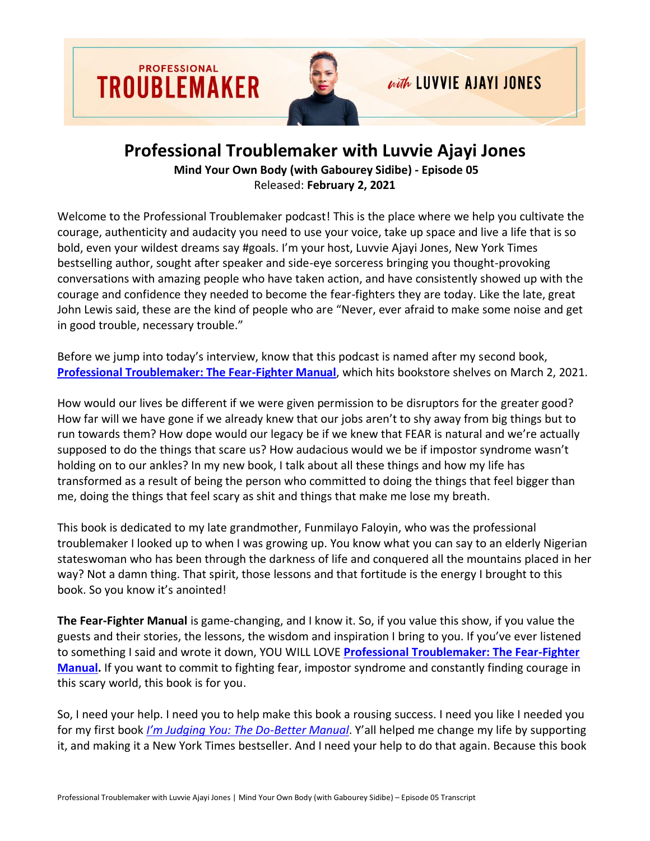

## **Professional Troublemaker with Luvvie Ajayi Jones**

**Mind Your Own Body (with Gabourey Sidibe) - Episode 05** Released: **February 2, 2021**

Welcome to the Professional Troublemaker podcast! This is the place where we help you cultivate the courage, authenticity and audacity you need to use your voice, take up space and live a life that is so bold, even your wildest dreams say #goals. I'm your host, Luvvie Ajayi Jones, New York Times bestselling author, sought after speaker and side-eye sorceress bringing you thought-provoking conversations with amazing people who have taken action, and have consistently showed up with the courage and confidence they needed to become the fear-fighters they are today. Like the late, great John Lewis said, these are the kind of people who are "Never, ever afraid to make some noise and get in good trouble, necessary trouble."

Before we jump into today's interview, know that this podcast is named after my second book, **[Professional Troublemaker: The Fear-Fighter Manual](http://professionaltroublemakerbook.com/)**, which hits bookstore shelves on March 2, 2021.

How would our lives be different if we were given permission to be disruptors for the greater good? How far will we have gone if we already knew that our jobs aren't to shy away from big things but to run towards them? How dope would our legacy be if we knew that FEAR is natural and we're actually supposed to do the things that scare us? How audacious would we be if impostor syndrome wasn't holding on to our ankles? In my new book, I talk about all these things and how my life has transformed as a result of being the person who committed to doing the things that feel bigger than me, doing the things that feel scary as shit and things that make me lose my breath.

This book is dedicated to my late grandmother, Funmilayo Faloyin, who was the professional troublemaker I looked up to when I was growing up. You know what you can say to an elderly Nigerian stateswoman who has been through the darkness of life and conquered all the mountains placed in her way? Not a damn thing. That spirit, those lessons and that fortitude is the energy I brought to this book. So you know it's anointed!

**The Fear-Fighter Manual** is game-changing, and I know it. So, if you value this show, if you value the guests and their stories, the lessons, the wisdom and inspiration I bring to you. If you've ever listened to something I said and wrote it down, YOU WILL LOVE **[Professional Troublemaker: The Fear-Fighter](http://professionaltroublemakerbook.com/)  [Manual.](http://professionaltroublemakerbook.com/)** If you want to commit to fighting fear, impostor syndrome and constantly finding courage in this scary world, this book is for you.

So, I need your help. I need you to help make this book a rousing success. I need you like I needed you for my first book *[I'm Judging You: The Do](https://amzn.to/3i8WHUP)-Better Manual*. Y'all helped me change my life by supporting it, and making it a New York Times bestseller. And I need your help to do that again. Because this book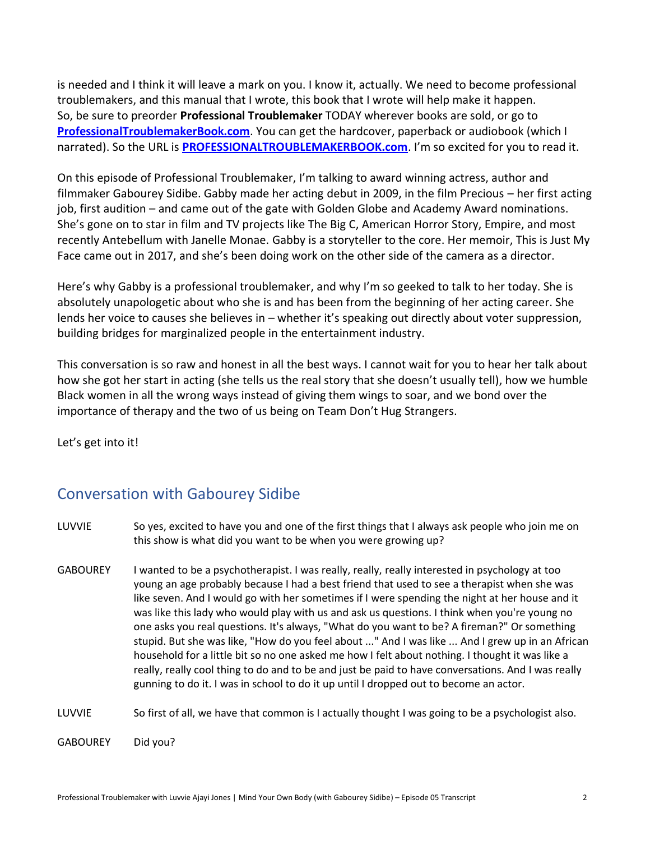is needed and I think it will leave a mark on you. I know it, actually. We need to become professional troublemakers, and this manual that I wrote, this book that I wrote will help make it happen. So, be sure to preorder **Professional Troublemaker** TODAY wherever books are sold, or go to **[ProfessionalTroublemakerBook.com](http://professionaltroublemakerbook.com/)**. You can get the hardcover, paperback or audiobook (which I narrated). So the URL is **[PROFESSIONALTROUBLEMAKERBOOK.com](http://professionaltroublemakerbook.com/)**. I'm so excited for you to read it.

On this episode of Professional Troublemaker, I'm talking to award winning actress, author and filmmaker Gabourey Sidibe. Gabby made her acting debut in 2009, in the film Precious – her first acting job, first audition – and came out of the gate with Golden Globe and Academy Award nominations. She's gone on to star in film and TV projects like The Big C, American Horror Story, Empire, and most recently Antebellum with Janelle Monae. Gabby is a storyteller to the core. Her memoir, This is Just My Face came out in 2017, and she's been doing work on the other side of the camera as a director.

Here's why Gabby is a professional troublemaker, and why I'm so geeked to talk to her today. She is absolutely unapologetic about who she is and has been from the beginning of her acting career. She lends her voice to causes she believes in – whether it's speaking out directly about voter suppression, building bridges for marginalized people in the entertainment industry.

This conversation is so raw and honest in all the best ways. I cannot wait for you to hear her talk about how she got her start in acting (she tells us the real story that she doesn't usually tell), how we humble Black women in all the wrong ways instead of giving them wings to soar, and we bond over the importance of therapy and the two of us being on Team Don't Hug Strangers.

Let's get into it!

## Conversation with Gabourey Sidibe

- LUVVIE So yes, excited to have you and one of the first things that I always ask people who join me on this show is what did you want to be when you were growing up?
- GABOUREY I wanted to be a psychotherapist. I was really, really, really interested in psychology at too young an age probably because I had a best friend that used to see a therapist when she was like seven. And I would go with her sometimes if I were spending the night at her house and it was like this lady who would play with us and ask us questions. I think when you're young no one asks you real questions. It's always, "What do you want to be? A fireman?" Or something stupid. But she was like, "How do you feel about ..." And I was like ... And I grew up in an African household for a little bit so no one asked me how I felt about nothing. I thought it was like a really, really cool thing to do and to be and just be paid to have conversations. And I was really gunning to do it. I was in school to do it up until I dropped out to become an actor.

LUVVIE So first of all, we have that common is I actually thought I was going to be a psychologist also.

GABOUREY Did you?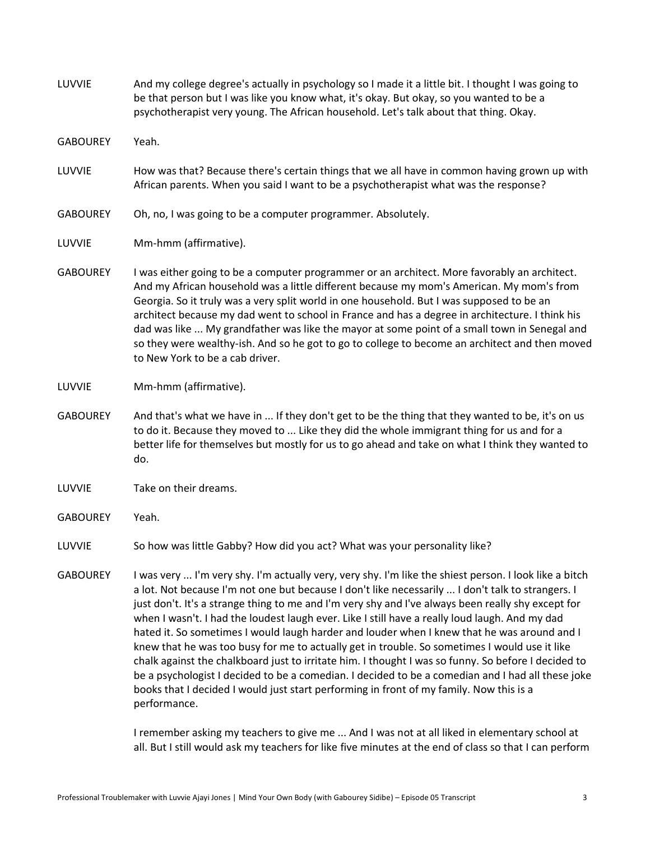| LUVVIE          | And my college degree's actually in psychology so I made it a little bit. I thought I was going to<br>be that person but I was like you know what, it's okay. But okay, so you wanted to be a<br>psychotherapist very young. The African household. Let's talk about that thing. Okay.                                                                                                                                                                                                                                                                                                                                        |
|-----------------|-------------------------------------------------------------------------------------------------------------------------------------------------------------------------------------------------------------------------------------------------------------------------------------------------------------------------------------------------------------------------------------------------------------------------------------------------------------------------------------------------------------------------------------------------------------------------------------------------------------------------------|
| <b>GABOUREY</b> | Yeah.                                                                                                                                                                                                                                                                                                                                                                                                                                                                                                                                                                                                                         |
| LUVVIE          | How was that? Because there's certain things that we all have in common having grown up with<br>African parents. When you said I want to be a psychotherapist what was the response?                                                                                                                                                                                                                                                                                                                                                                                                                                          |
| <b>GABOUREY</b> | Oh, no, I was going to be a computer programmer. Absolutely.                                                                                                                                                                                                                                                                                                                                                                                                                                                                                                                                                                  |
| LUVVIE          | Mm-hmm (affirmative).                                                                                                                                                                                                                                                                                                                                                                                                                                                                                                                                                                                                         |
| <b>GABOUREY</b> | I was either going to be a computer programmer or an architect. More favorably an architect.<br>And my African household was a little different because my mom's American. My mom's from<br>Georgia. So it truly was a very split world in one household. But I was supposed to be an<br>architect because my dad went to school in France and has a degree in architecture. I think his<br>dad was like  My grandfather was like the mayor at some point of a small town in Senegal and<br>so they were wealthy-ish. And so he got to go to college to become an architect and then moved<br>to New York to be a cab driver. |
| LUVVIE          | Mm-hmm (affirmative).                                                                                                                                                                                                                                                                                                                                                                                                                                                                                                                                                                                                         |
| <b>GABOUREY</b> | And that's what we have in  If they don't get to be the thing that they wanted to be, it's on us<br>to do it. Because they moved to  Like they did the whole immigrant thing for us and for a<br>better life for themselves but mostly for us to go ahead and take on what I think they wanted to<br>do.                                                                                                                                                                                                                                                                                                                      |
| LUVVIE          | Take on their dreams.                                                                                                                                                                                                                                                                                                                                                                                                                                                                                                                                                                                                         |
| <b>GABOUREY</b> | Yeah.                                                                                                                                                                                                                                                                                                                                                                                                                                                                                                                                                                                                                         |
| LUVVIE          | So how was little Gabby? How did you act? What was your personality like?                                                                                                                                                                                                                                                                                                                                                                                                                                                                                                                                                     |
| <b>GABOUREY</b> | I was very  I'm very shy. I'm actually very, very shy. I'm like the shiest person. I look like a bitch<br>a lot. Not because I'm not one but because I don't like necessarily  I don't talk to strangers. I<br>just don't. It's a strange thing to me and I'm very shy and I've always been really shy except for<br>when I wasn't. I had the loudest laugh ever. Like I still have a really loud laugh. And my dad                                                                                                                                                                                                           |

hated it. So sometimes I would laugh harder and louder when I knew that he was around and I knew that he was too busy for me to actually get in trouble. So sometimes I would use it like chalk against the chalkboard just to irritate him. I thought I was so funny. So before I decided to be a psychologist I decided to be a comedian. I decided to be a comedian and I had all these joke books that I decided I would just start performing in front of my family. Now this is a performance.

I remember asking my teachers to give me ... And I was not at all liked in elementary school at all. But I still would ask my teachers for like five minutes at the end of class so that I can perform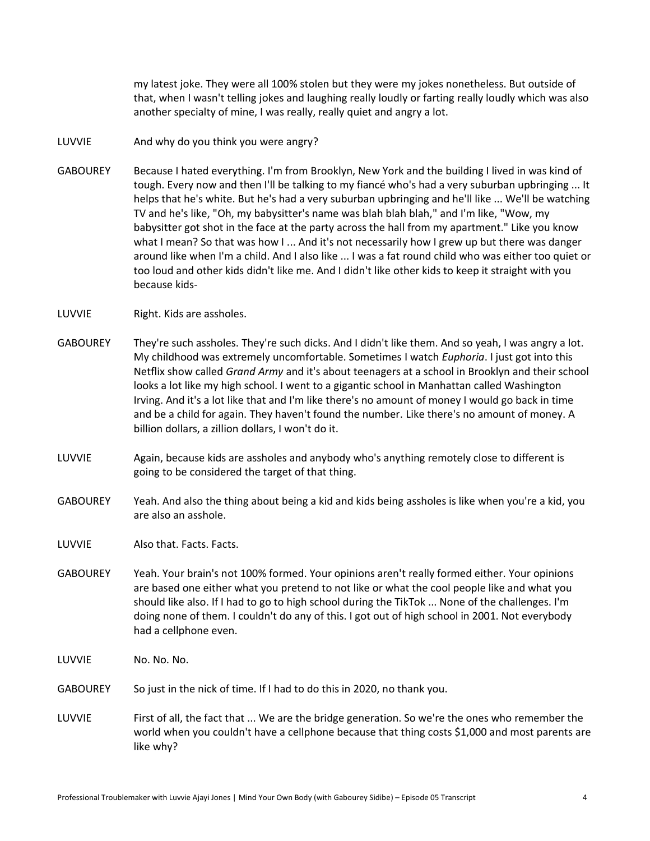my latest joke. They were all 100% stolen but they were my jokes nonetheless. But outside of that, when I wasn't telling jokes and laughing really loudly or farting really loudly which was also another specialty of mine, I was really, really quiet and angry a lot.

## LUVVIE And why do you think you were angry?

- GABOUREY Because I hated everything. I'm from Brooklyn, New York and the building I lived in was kind of tough. Every now and then I'll be talking to my fiancé who's had a very suburban upbringing ... It helps that he's white. But he's had a very suburban upbringing and he'll like ... We'll be watching TV and he's like, "Oh, my babysitter's name was blah blah blah," and I'm like, "Wow, my babysitter got shot in the face at the party across the hall from my apartment." Like you know what I mean? So that was how I ... And it's not necessarily how I grew up but there was danger around like when I'm a child. And I also like ... I was a fat round child who was either too quiet or too loud and other kids didn't like me. And I didn't like other kids to keep it straight with you because kids-
- LUVVIE Right. Kids are assholes.
- GABOUREY They're such assholes. They're such dicks. And I didn't like them. And so yeah, I was angry a lot. My childhood was extremely uncomfortable. Sometimes I watch *Euphoria*. I just got into this Netflix show called *Grand Army* and it's about teenagers at a school in Brooklyn and their school looks a lot like my high school. I went to a gigantic school in Manhattan called Washington Irving. And it's a lot like that and I'm like there's no amount of money I would go back in time and be a child for again. They haven't found the number. Like there's no amount of money. A billion dollars, a zillion dollars, I won't do it.
- LUVVIE Again, because kids are assholes and anybody who's anything remotely close to different is going to be considered the target of that thing.
- GABOUREY Yeah. And also the thing about being a kid and kids being assholes is like when you're a kid, you are also an asshole.
- LUVVIE Also that. Facts. Facts.
- GABOUREY Yeah. Your brain's not 100% formed. Your opinions aren't really formed either. Your opinions are based one either what you pretend to not like or what the cool people like and what you should like also. If I had to go to high school during the TikTok ... None of the challenges. I'm doing none of them. I couldn't do any of this. I got out of high school in 2001. Not everybody had a cellphone even.
- LUVVIE No. No. No.
- GABOUREY So just in the nick of time. If I had to do this in 2020, no thank you.
- LUVVIE First of all, the fact that ... We are the bridge generation. So we're the ones who remember the world when you couldn't have a cellphone because that thing costs \$1,000 and most parents are like why?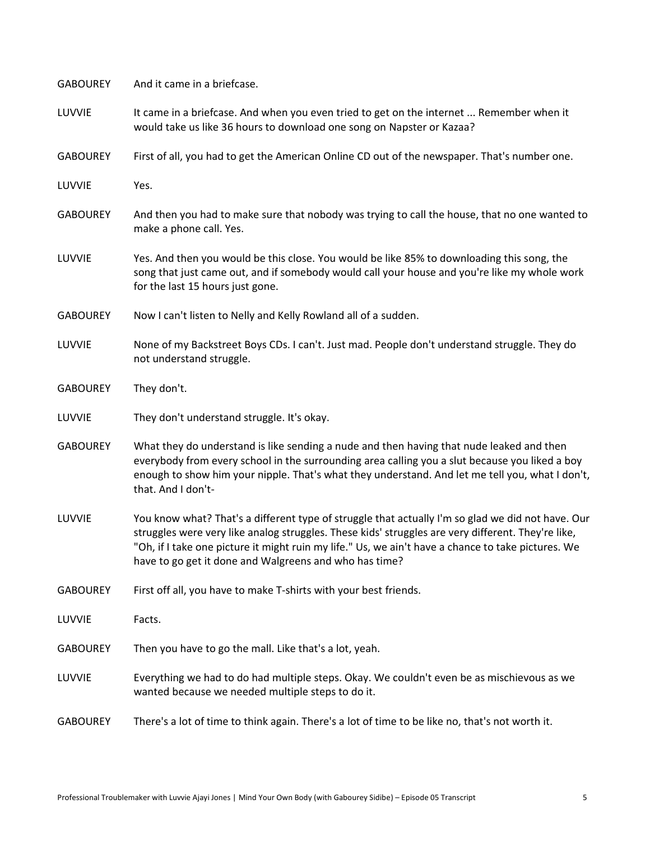| <b>GABOUREY</b> | And it came in a briefcase.                                                                                                                                                                                                                                                                                                                                             |
|-----------------|-------------------------------------------------------------------------------------------------------------------------------------------------------------------------------------------------------------------------------------------------------------------------------------------------------------------------------------------------------------------------|
| LUVVIE          | It came in a briefcase. And when you even tried to get on the internet  Remember when it<br>would take us like 36 hours to download one song on Napster or Kazaa?                                                                                                                                                                                                       |
| <b>GABOUREY</b> | First of all, you had to get the American Online CD out of the newspaper. That's number one.                                                                                                                                                                                                                                                                            |
| LUVVIE          | Yes.                                                                                                                                                                                                                                                                                                                                                                    |
| <b>GABOUREY</b> | And then you had to make sure that nobody was trying to call the house, that no one wanted to<br>make a phone call. Yes.                                                                                                                                                                                                                                                |
| LUVVIE          | Yes. And then you would be this close. You would be like 85% to downloading this song, the<br>song that just came out, and if somebody would call your house and you're like my whole work<br>for the last 15 hours just gone.                                                                                                                                          |
| <b>GABOUREY</b> | Now I can't listen to Nelly and Kelly Rowland all of a sudden.                                                                                                                                                                                                                                                                                                          |
| LUVVIE          | None of my Backstreet Boys CDs. I can't. Just mad. People don't understand struggle. They do<br>not understand struggle.                                                                                                                                                                                                                                                |
| <b>GABOUREY</b> | They don't.                                                                                                                                                                                                                                                                                                                                                             |
| LUVVIE          | They don't understand struggle. It's okay.                                                                                                                                                                                                                                                                                                                              |
| <b>GABOUREY</b> | What they do understand is like sending a nude and then having that nude leaked and then<br>everybody from every school in the surrounding area calling you a slut because you liked a boy<br>enough to show him your nipple. That's what they understand. And let me tell you, what I don't,<br>that. And I don't-                                                     |
| LUVVIE          | You know what? That's a different type of struggle that actually I'm so glad we did not have. Our<br>struggles were very like analog struggles. These kids' struggles are very different. They're like,<br>"Oh, if I take one picture it might ruin my life." Us, we ain't have a chance to take pictures. We<br>have to go get it done and Walgreens and who has time? |
| <b>GABOUREY</b> | First off all, you have to make T-shirts with your best friends.                                                                                                                                                                                                                                                                                                        |
| LUVVIE          | Facts.                                                                                                                                                                                                                                                                                                                                                                  |
| <b>GABOUREY</b> | Then you have to go the mall. Like that's a lot, yeah.                                                                                                                                                                                                                                                                                                                  |
| LUVVIE          | Everything we had to do had multiple steps. Okay. We couldn't even be as mischievous as we<br>wanted because we needed multiple steps to do it.                                                                                                                                                                                                                         |
| <b>GABOUREY</b> | There's a lot of time to think again. There's a lot of time to be like no, that's not worth it.                                                                                                                                                                                                                                                                         |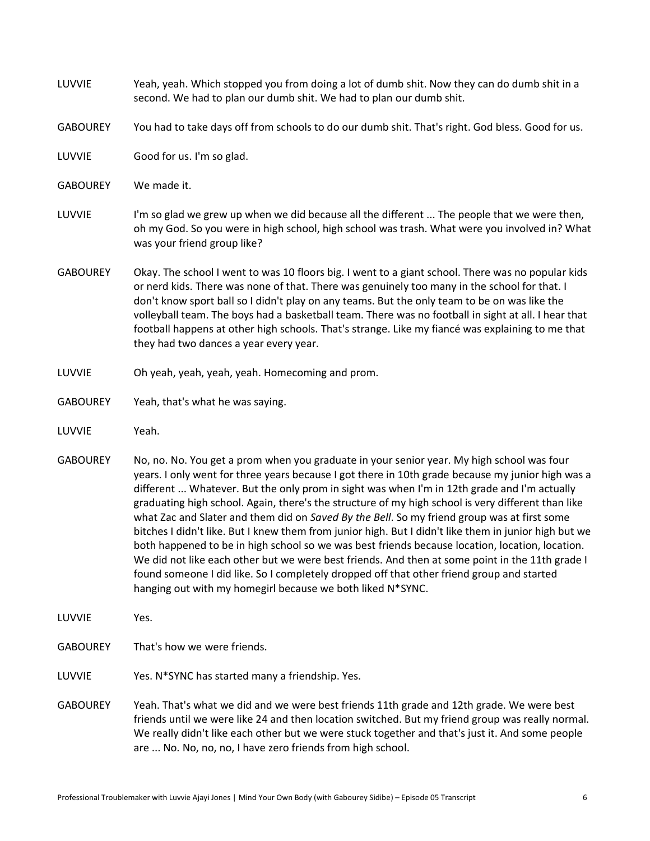| LUVVIE          | Yeah, yeah. Which stopped you from doing a lot of dumb shit. Now they can do dumb shit in a<br>second. We had to plan our dumb shit. We had to plan our dumb shit.                                                                                                                                                                                                                                                                                                                                                                                     |
|-----------------|--------------------------------------------------------------------------------------------------------------------------------------------------------------------------------------------------------------------------------------------------------------------------------------------------------------------------------------------------------------------------------------------------------------------------------------------------------------------------------------------------------------------------------------------------------|
| <b>GABOUREY</b> | You had to take days off from schools to do our dumb shit. That's right. God bless. Good for us.                                                                                                                                                                                                                                                                                                                                                                                                                                                       |
| LUVVIE          | Good for us. I'm so glad.                                                                                                                                                                                                                                                                                                                                                                                                                                                                                                                              |
| <b>GABOUREY</b> | We made it.                                                                                                                                                                                                                                                                                                                                                                                                                                                                                                                                            |
| LUVVIE          | I'm so glad we grew up when we did because all the different  The people that we were then,<br>oh my God. So you were in high school, high school was trash. What were you involved in? What<br>was your friend group like?                                                                                                                                                                                                                                                                                                                            |
| <b>GABOUREY</b> | Okay. The school I went to was 10 floors big. I went to a giant school. There was no popular kids<br>or nerd kids. There was none of that. There was genuinely too many in the school for that. I<br>don't know sport ball so I didn't play on any teams. But the only team to be on was like the<br>volleyball team. The boys had a basketball team. There was no football in sight at all. I hear that<br>football happens at other high schools. That's strange. Like my fiancé was explaining to me that<br>they had two dances a year every year. |
| LUVVIE          | Oh yeah, yeah, yeah, yeah. Homecoming and prom.                                                                                                                                                                                                                                                                                                                                                                                                                                                                                                        |
| <b>GABOUREY</b> | Yeah, that's what he was saying.                                                                                                                                                                                                                                                                                                                                                                                                                                                                                                                       |
| LUVVIE          | Yeah.                                                                                                                                                                                                                                                                                                                                                                                                                                                                                                                                                  |

- GABOUREY No, no. No. You get a prom when you graduate in your senior year. My high school was four years. I only went for three years because I got there in 10th grade because my junior high was a different ... Whatever. But the only prom in sight was when I'm in 12th grade and I'm actually graduating high school. Again, there's the structure of my high school is very different than like what Zac and Slater and them did on *Saved By the Bell*. So my friend group was at first some bitches I didn't like. But I knew them from junior high. But I didn't like them in junior high but we both happened to be in high school so we was best friends because location, location, location. We did not like each other but we were best friends. And then at some point in the 11th grade I found someone I did like. So I completely dropped off that other friend group and started hanging out with my homegirl because we both liked N\*SYNC.
- LUVVIE Yes.

GABOUREY That's how we were friends.

LUVVIE Yes. N\*SYNC has started many a friendship. Yes.

GABOUREY Yeah. That's what we did and we were best friends 11th grade and 12th grade. We were best friends until we were like 24 and then location switched. But my friend group was really normal. We really didn't like each other but we were stuck together and that's just it. And some people are ... No. No, no, no, I have zero friends from high school.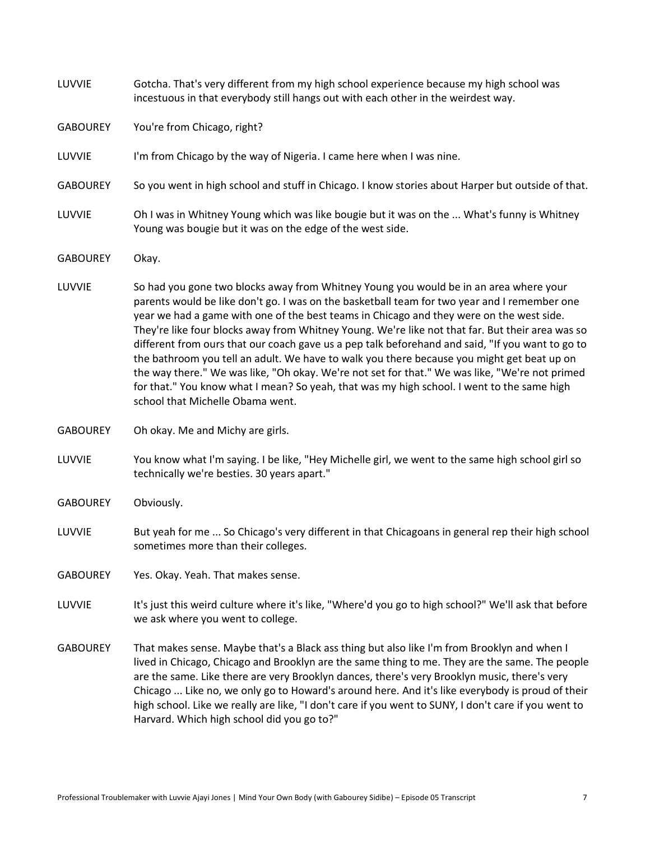| LUVVIE          | Gotcha. That's very different from my high school experience because my high school was<br>incestuous in that everybody still hangs out with each other in the weirdest way.                                                                                                                                                                                                                                                                                                                                                                                                                                                                                                                                                                                                                                                |
|-----------------|-----------------------------------------------------------------------------------------------------------------------------------------------------------------------------------------------------------------------------------------------------------------------------------------------------------------------------------------------------------------------------------------------------------------------------------------------------------------------------------------------------------------------------------------------------------------------------------------------------------------------------------------------------------------------------------------------------------------------------------------------------------------------------------------------------------------------------|
| <b>GABOUREY</b> | You're from Chicago, right?                                                                                                                                                                                                                                                                                                                                                                                                                                                                                                                                                                                                                                                                                                                                                                                                 |
| LUVVIE          | I'm from Chicago by the way of Nigeria. I came here when I was nine.                                                                                                                                                                                                                                                                                                                                                                                                                                                                                                                                                                                                                                                                                                                                                        |
| <b>GABOUREY</b> | So you went in high school and stuff in Chicago. I know stories about Harper but outside of that.                                                                                                                                                                                                                                                                                                                                                                                                                                                                                                                                                                                                                                                                                                                           |
| LUVVIE          | Oh I was in Whitney Young which was like bougie but it was on the  What's funny is Whitney<br>Young was bougie but it was on the edge of the west side.                                                                                                                                                                                                                                                                                                                                                                                                                                                                                                                                                                                                                                                                     |
| <b>GABOUREY</b> | Okay.                                                                                                                                                                                                                                                                                                                                                                                                                                                                                                                                                                                                                                                                                                                                                                                                                       |
| LUVVIE          | So had you gone two blocks away from Whitney Young you would be in an area where your<br>parents would be like don't go. I was on the basketball team for two year and I remember one<br>year we had a game with one of the best teams in Chicago and they were on the west side.<br>They're like four blocks away from Whitney Young. We're like not that far. But their area was so<br>different from ours that our coach gave us a pep talk beforehand and said, "If you want to go to<br>the bathroom you tell an adult. We have to walk you there because you might get beat up on<br>the way there." We was like, "Oh okay. We're not set for that." We was like, "We're not primed<br>for that." You know what I mean? So yeah, that was my high school. I went to the same high<br>school that Michelle Obama went. |
| <b>GABOUREY</b> | Oh okay. Me and Michy are girls.                                                                                                                                                                                                                                                                                                                                                                                                                                                                                                                                                                                                                                                                                                                                                                                            |
| LUVVIE          | You know what I'm saying. I be like, "Hey Michelle girl, we went to the same high school girl so<br>technically we're besties. 30 years apart."                                                                                                                                                                                                                                                                                                                                                                                                                                                                                                                                                                                                                                                                             |
| <b>GABOUREY</b> | Obviously.                                                                                                                                                                                                                                                                                                                                                                                                                                                                                                                                                                                                                                                                                                                                                                                                                  |
| LUVVIE          | But yeah for me  So Chicago's very different in that Chicagoans in general rep their high school<br>sometimes more than their colleges.                                                                                                                                                                                                                                                                                                                                                                                                                                                                                                                                                                                                                                                                                     |
| <b>GABOUREY</b> | Yes. Okay. Yeah. That makes sense.                                                                                                                                                                                                                                                                                                                                                                                                                                                                                                                                                                                                                                                                                                                                                                                          |
| LUVVIE          | It's just this weird culture where it's like, "Where'd you go to high school?" We'll ask that before<br>we ask where you went to college.                                                                                                                                                                                                                                                                                                                                                                                                                                                                                                                                                                                                                                                                                   |
| <b>GABOUREY</b> | That makes sense. Maybe that's a Black ass thing but also like I'm from Brooklyn and when I<br>lived in Chicago, Chicago and Brooklyn are the same thing to me. They are the same. The people<br>are the same. Like there are very Brooklyn dances, there's very Brooklyn music, there's very<br>Chicago  Like no, we only go to Howard's around here. And it's like everybody is proud of their<br>high school. Like we really are like, "I don't care if you went to SUNY, I don't care if you went to<br>Harvard. Which high school did you go to?"                                                                                                                                                                                                                                                                      |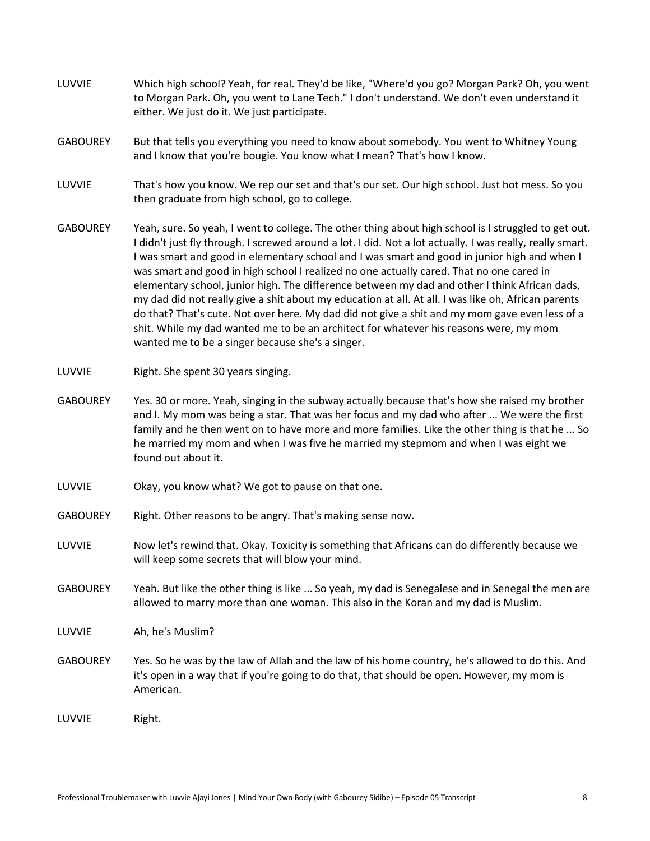- LUVVIE Which high school? Yeah, for real. They'd be like, "Where'd you go? Morgan Park? Oh, you went to Morgan Park. Oh, you went to Lane Tech." I don't understand. We don't even understand it either. We just do it. We just participate.
- GABOUREY But that tells you everything you need to know about somebody. You went to Whitney Young and I know that you're bougie. You know what I mean? That's how I know.
- LUVVIE That's how you know. We rep our set and that's our set. Our high school. Just hot mess. So you then graduate from high school, go to college.
- GABOUREY Yeah, sure. So yeah, I went to college. The other thing about high school is I struggled to get out. I didn't just fly through. I screwed around a lot. I did. Not a lot actually. I was really, really smart. I was smart and good in elementary school and I was smart and good in junior high and when I was smart and good in high school I realized no one actually cared. That no one cared in elementary school, junior high. The difference between my dad and other I think African dads, my dad did not really give a shit about my education at all. At all. I was like oh, African parents do that? That's cute. Not over here. My dad did not give a shit and my mom gave even less of a shit. While my dad wanted me to be an architect for whatever his reasons were, my mom wanted me to be a singer because she's a singer.
- LUVVIE Right. She spent 30 years singing.
- GABOUREY Yes. 30 or more. Yeah, singing in the subway actually because that's how she raised my brother and I. My mom was being a star. That was her focus and my dad who after ... We were the first family and he then went on to have more and more families. Like the other thing is that he ... So he married my mom and when I was five he married my stepmom and when I was eight we found out about it.
- LUVVIE Okay, you know what? We got to pause on that one.
- GABOUREY Right. Other reasons to be angry. That's making sense now.
- LUVVIE Now let's rewind that. Okay. Toxicity is something that Africans can do differently because we will keep some secrets that will blow your mind.
- GABOUREY Yeah. But like the other thing is like ... So yeah, my dad is Senegalese and in Senegal the men are allowed to marry more than one woman. This also in the Koran and my dad is Muslim.
- LUVVIE Ah, he's Muslim?
- GABOUREY Yes. So he was by the law of Allah and the law of his home country, he's allowed to do this. And it's open in a way that if you're going to do that, that should be open. However, my mom is American.

LUVVIE Right.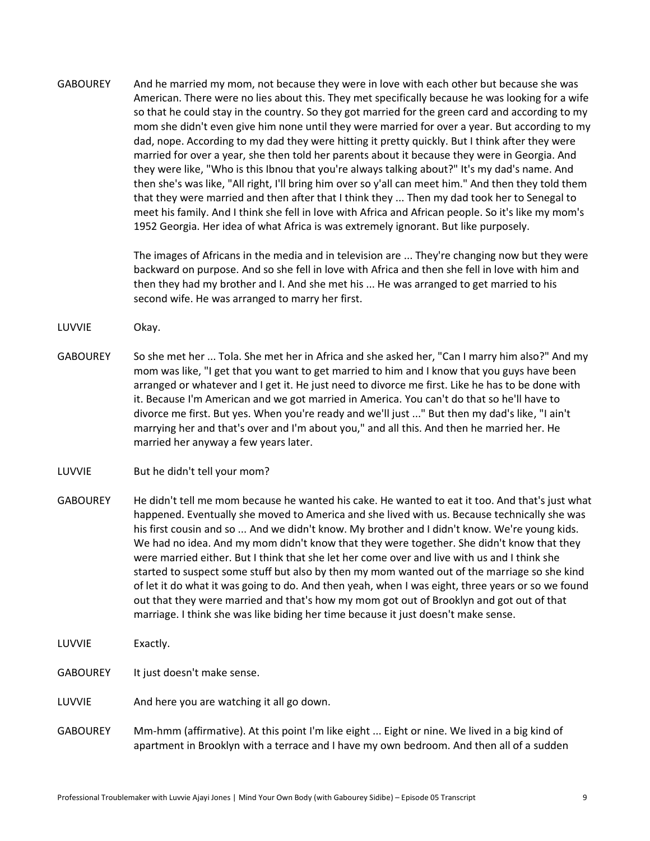GABOUREY And he married my mom, not because they were in love with each other but because she was American. There were no lies about this. They met specifically because he was looking for a wife so that he could stay in the country. So they got married for the green card and according to my mom she didn't even give him none until they were married for over a year. But according to my dad, nope. According to my dad they were hitting it pretty quickly. But I think after they were married for over a year, she then told her parents about it because they were in Georgia. And they were like, "Who is this Ibnou that you're always talking about?" It's my dad's name. And then she's was like, "All right, I'll bring him over so y'all can meet him." And then they told them that they were married and then after that I think they ... Then my dad took her to Senegal to meet his family. And I think she fell in love with Africa and African people. So it's like my mom's 1952 Georgia. Her idea of what Africa is was extremely ignorant. But like purposely.

> The images of Africans in the media and in television are ... They're changing now but they were backward on purpose. And so she fell in love with Africa and then she fell in love with him and then they had my brother and I. And she met his ... He was arranged to get married to his second wife. He was arranged to marry her first.

- LUVVIE Okay.
- GABOUREY So she met her ... Tola. She met her in Africa and she asked her, "Can I marry him also?" And my mom was like, "I get that you want to get married to him and I know that you guys have been arranged or whatever and I get it. He just need to divorce me first. Like he has to be done with it. Because I'm American and we got married in America. You can't do that so he'll have to divorce me first. But yes. When you're ready and we'll just ..." But then my dad's like, "I ain't marrying her and that's over and I'm about you," and all this. And then he married her. He married her anyway a few years later.
- LUVVIE But he didn't tell your mom?
- GABOUREY He didn't tell me mom because he wanted his cake. He wanted to eat it too. And that's just what happened. Eventually she moved to America and she lived with us. Because technically she was his first cousin and so ... And we didn't know. My brother and I didn't know. We're young kids. We had no idea. And my mom didn't know that they were together. She didn't know that they were married either. But I think that she let her come over and live with us and I think she started to suspect some stuff but also by then my mom wanted out of the marriage so she kind of let it do what it was going to do. And then yeah, when I was eight, three years or so we found out that they were married and that's how my mom got out of Brooklyn and got out of that marriage. I think she was like biding her time because it just doesn't make sense.
- LUVVIE Exactly.
- GABOUREY It just doesn't make sense.
- LUVVIE And here you are watching it all go down.
- GABOUREY Mm-hmm (affirmative). At this point I'm like eight ... Eight or nine. We lived in a big kind of apartment in Brooklyn with a terrace and I have my own bedroom. And then all of a sudden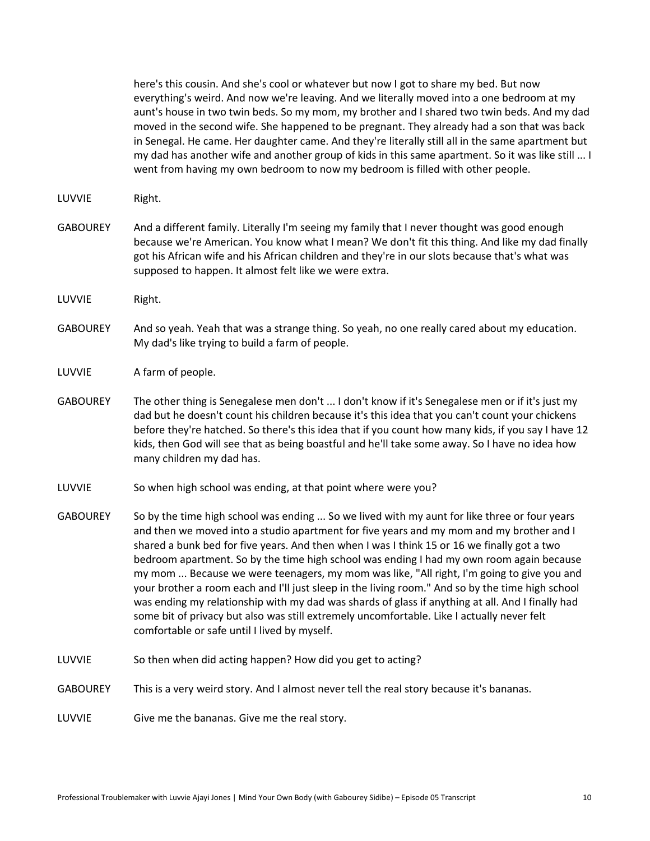here's this cousin. And she's cool or whatever but now I got to share my bed. But now everything's weird. And now we're leaving. And we literally moved into a one bedroom at my aunt's house in two twin beds. So my mom, my brother and I shared two twin beds. And my dad moved in the second wife. She happened to be pregnant. They already had a son that was back in Senegal. He came. Her daughter came. And they're literally still all in the same apartment but my dad has another wife and another group of kids in this same apartment. So it was like still ... I went from having my own bedroom to now my bedroom is filled with other people.

- LUVVIE Right.
- GABOUREY And a different family. Literally I'm seeing my family that I never thought was good enough because we're American. You know what I mean? We don't fit this thing. And like my dad finally got his African wife and his African children and they're in our slots because that's what was supposed to happen. It almost felt like we were extra.
- LUVVIE Right.
- GABOUREY And so yeah. Yeah that was a strange thing. So yeah, no one really cared about my education. My dad's like trying to build a farm of people.
- LUVVIE A farm of people.
- GABOUREY The other thing is Senegalese men don't ... I don't know if it's Senegalese men or if it's just my dad but he doesn't count his children because it's this idea that you can't count your chickens before they're hatched. So there's this idea that if you count how many kids, if you say I have 12 kids, then God will see that as being boastful and he'll take some away. So I have no idea how many children my dad has.
- LUVVIE So when high school was ending, at that point where were you?
- GABOUREY So by the time high school was ending ... So we lived with my aunt for like three or four years and then we moved into a studio apartment for five years and my mom and my brother and I shared a bunk bed for five years. And then when I was I think 15 or 16 we finally got a two bedroom apartment. So by the time high school was ending I had my own room again because my mom ... Because we were teenagers, my mom was like, "All right, I'm going to give you and your brother a room each and I'll just sleep in the living room." And so by the time high school was ending my relationship with my dad was shards of glass if anything at all. And I finally had some bit of privacy but also was still extremely uncomfortable. Like I actually never felt comfortable or safe until I lived by myself.
- LUVVIE So then when did acting happen? How did you get to acting?
- GABOUREY This is a very weird story. And I almost never tell the real story because it's bananas.
- LUVVIE Give me the bananas. Give me the real story.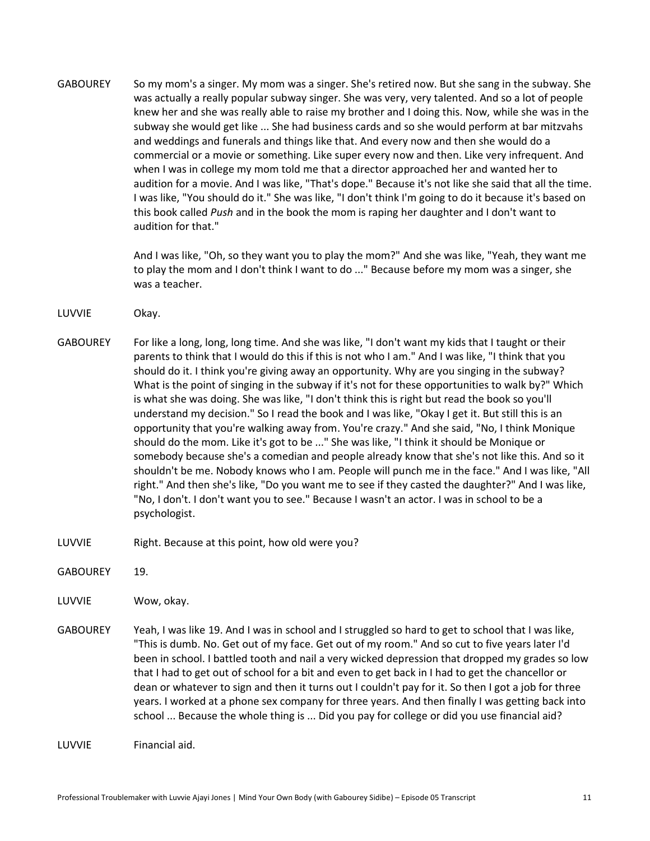GABOUREY So my mom's a singer. My mom was a singer. She's retired now. But she sang in the subway. She was actually a really popular subway singer. She was very, very talented. And so a lot of people knew her and she was really able to raise my brother and I doing this. Now, while she was in the subway she would get like ... She had business cards and so she would perform at bar mitzvahs and weddings and funerals and things like that. And every now and then she would do a commercial or a movie or something. Like super every now and then. Like very infrequent. And when I was in college my mom told me that a director approached her and wanted her to audition for a movie. And I was like, "That's dope." Because it's not like she said that all the time. I was like, "You should do it." She was like, "I don't think I'm going to do it because it's based on this book called *Push* and in the book the mom is raping her daughter and I don't want to audition for that."

> And I was like, "Oh, so they want you to play the mom?" And she was like, "Yeah, they want me to play the mom and I don't think I want to do ..." Because before my mom was a singer, she was a teacher.

- LUVVIE Okay.
- GABOUREY For like a long, long, long time. And she was like, "I don't want my kids that I taught or their parents to think that I would do this if this is not who I am." And I was like, "I think that you should do it. I think you're giving away an opportunity. Why are you singing in the subway? What is the point of singing in the subway if it's not for these opportunities to walk by?" Which is what she was doing. She was like, "I don't think this is right but read the book so you'll understand my decision." So I read the book and I was like, "Okay I get it. But still this is an opportunity that you're walking away from. You're crazy." And she said, "No, I think Monique should do the mom. Like it's got to be ..." She was like, "I think it should be Monique or somebody because she's a comedian and people already know that she's not like this. And so it shouldn't be me. Nobody knows who I am. People will punch me in the face." And I was like, "All right." And then she's like, "Do you want me to see if they casted the daughter?" And I was like, "No, I don't. I don't want you to see." Because I wasn't an actor. I was in school to be a psychologist.
- LUVVIE Right. Because at this point, how old were you?

GABOUREY 19.

LUVVIE Wow, okay.

GABOUREY Yeah, I was like 19. And I was in school and I struggled so hard to get to school that I was like, "This is dumb. No. Get out of my face. Get out of my room." And so cut to five years later I'd been in school. I battled tooth and nail a very wicked depression that dropped my grades so low that I had to get out of school for a bit and even to get back in I had to get the chancellor or dean or whatever to sign and then it turns out I couldn't pay for it. So then I got a job for three years. I worked at a phone sex company for three years. And then finally I was getting back into school ... Because the whole thing is ... Did you pay for college or did you use financial aid?

LUVVIE Financial aid.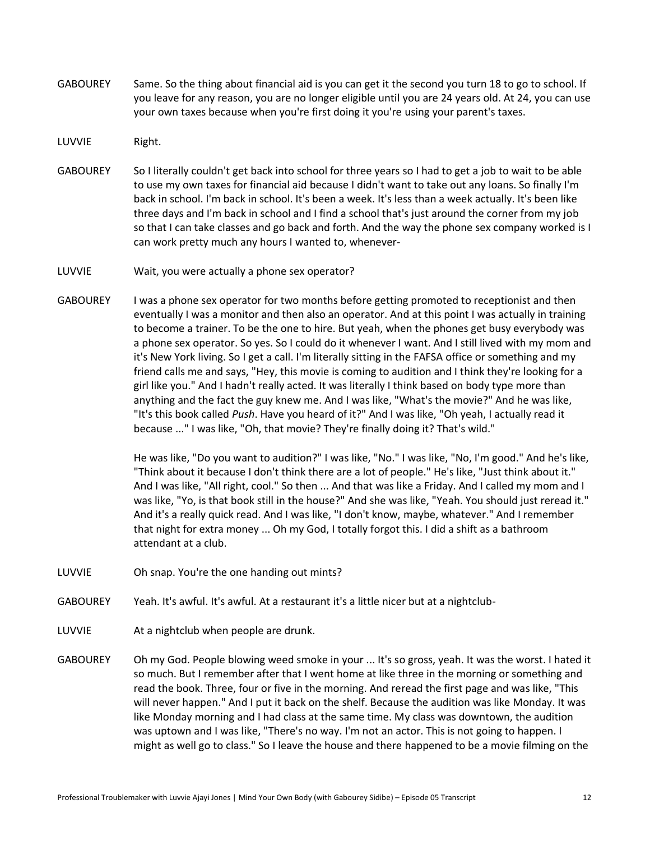- GABOUREY Same. So the thing about financial aid is you can get it the second you turn 18 to go to school. If you leave for any reason, you are no longer eligible until you are 24 years old. At 24, you can use your own taxes because when you're first doing it you're using your parent's taxes.
- LUVVIE Right.
- GABOUREY So I literally couldn't get back into school for three years so I had to get a job to wait to be able to use my own taxes for financial aid because I didn't want to take out any loans. So finally I'm back in school. I'm back in school. It's been a week. It's less than a week actually. It's been like three days and I'm back in school and I find a school that's just around the corner from my job so that I can take classes and go back and forth. And the way the phone sex company worked is I can work pretty much any hours I wanted to, whenever-
- LUVVIE Wait, you were actually a phone sex operator?
- GABOUREY I was a phone sex operator for two months before getting promoted to receptionist and then eventually I was a monitor and then also an operator. And at this point I was actually in training to become a trainer. To be the one to hire. But yeah, when the phones get busy everybody was a phone sex operator. So yes. So I could do it whenever I want. And I still lived with my mom and it's New York living. So I get a call. I'm literally sitting in the FAFSA office or something and my friend calls me and says, "Hey, this movie is coming to audition and I think they're looking for a girl like you." And I hadn't really acted. It was literally I think based on body type more than anything and the fact the guy knew me. And I was like, "What's the movie?" And he was like, "It's this book called *Push*. Have you heard of it?" And I was like, "Oh yeah, I actually read it because ..." I was like, "Oh, that movie? They're finally doing it? That's wild."

He was like, "Do you want to audition?" I was like, "No." I was like, "No, I'm good." And he's like, "Think about it because I don't think there are a lot of people." He's like, "Just think about it." And I was like, "All right, cool." So then ... And that was like a Friday. And I called my mom and I was like, "Yo, is that book still in the house?" And she was like, "Yeah. You should just reread it." And it's a really quick read. And I was like, "I don't know, maybe, whatever." And I remember that night for extra money ... Oh my God, I totally forgot this. I did a shift as a bathroom attendant at a club.

- LUVVIE Oh snap. You're the one handing out mints?
- GABOUREY Yeah. It's awful. It's awful. At a restaurant it's a little nicer but at a nightclub-
- LUVVIE At a nightclub when people are drunk.
- GABOUREY Oh my God. People blowing weed smoke in your ... It's so gross, yeah. It was the worst. I hated it so much. But I remember after that I went home at like three in the morning or something and read the book. Three, four or five in the morning. And reread the first page and was like, "This will never happen." And I put it back on the shelf. Because the audition was like Monday. It was like Monday morning and I had class at the same time. My class was downtown, the audition was uptown and I was like, "There's no way. I'm not an actor. This is not going to happen. I might as well go to class." So I leave the house and there happened to be a movie filming on the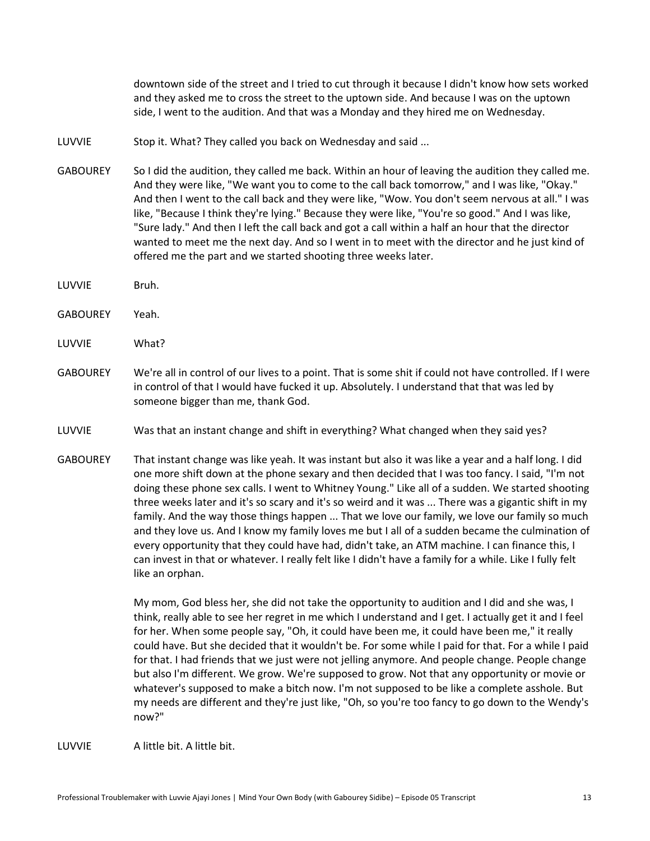downtown side of the street and I tried to cut through it because I didn't know how sets worked and they asked me to cross the street to the uptown side. And because I was on the uptown side, I went to the audition. And that was a Monday and they hired me on Wednesday.

- LUVVIE Stop it. What? They called you back on Wednesday and said ...
- GABOUREY So I did the audition, they called me back. Within an hour of leaving the audition they called me. And they were like, "We want you to come to the call back tomorrow," and I was like, "Okay." And then I went to the call back and they were like, "Wow. You don't seem nervous at all." I was like, "Because I think they're lying." Because they were like, "You're so good." And I was like, "Sure lady." And then I left the call back and got a call within a half an hour that the director wanted to meet me the next day. And so I went in to meet with the director and he just kind of offered me the part and we started shooting three weeks later.
- LUVVIE Bruh.
- GABOUREY Yeah.
- LUVVIE What?
- GABOUREY We're all in control of our lives to a point. That is some shit if could not have controlled. If I were in control of that I would have fucked it up. Absolutely. I understand that that was led by someone bigger than me, thank God.
- LUVVIE Was that an instant change and shift in everything? What changed when they said yes?
- GABOUREY That instant change was like yeah. It was instant but also it was like a year and a half long. I did one more shift down at the phone sexary and then decided that I was too fancy. I said, "I'm not doing these phone sex calls. I went to Whitney Young." Like all of a sudden. We started shooting three weeks later and it's so scary and it's so weird and it was ... There was a gigantic shift in my family. And the way those things happen ... That we love our family, we love our family so much and they love us. And I know my family loves me but I all of a sudden became the culmination of every opportunity that they could have had, didn't take, an ATM machine. I can finance this, I can invest in that or whatever. I really felt like I didn't have a family for a while. Like I fully felt like an orphan.

My mom, God bless her, she did not take the opportunity to audition and I did and she was, I think, really able to see her regret in me which I understand and I get. I actually get it and I feel for her. When some people say, "Oh, it could have been me, it could have been me," it really could have. But she decided that it wouldn't be. For some while I paid for that. For a while I paid for that. I had friends that we just were not jelling anymore. And people change. People change but also I'm different. We grow. We're supposed to grow. Not that any opportunity or movie or whatever's supposed to make a bitch now. I'm not supposed to be like a complete asshole. But my needs are different and they're just like, "Oh, so you're too fancy to go down to the Wendy's now?"

LUVVIE A little bit. A little bit.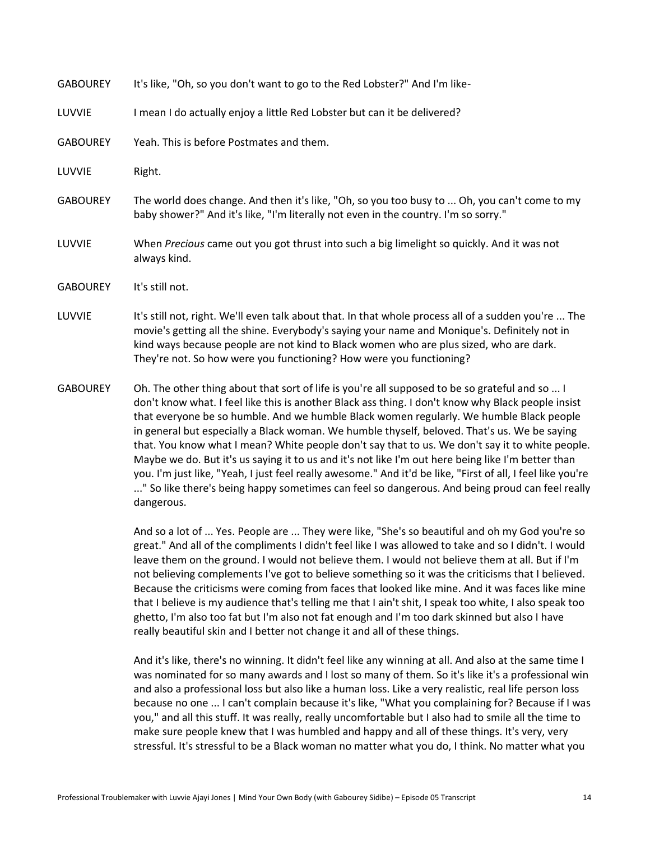| <b>GABOUREY</b> | It's like, "Oh, so you don't want to go to the Red Lobster?" And I'm like-                                                                                                                                                                                                                                                                                            |
|-----------------|-----------------------------------------------------------------------------------------------------------------------------------------------------------------------------------------------------------------------------------------------------------------------------------------------------------------------------------------------------------------------|
| LUVVIE          | I mean I do actually enjoy a little Red Lobster but can it be delivered?                                                                                                                                                                                                                                                                                              |
| <b>GABOUREY</b> | Yeah. This is before Postmates and them.                                                                                                                                                                                                                                                                                                                              |
| LUVVIE          | Right.                                                                                                                                                                                                                                                                                                                                                                |
| <b>GABOUREY</b> | The world does change. And then it's like, "Oh, so you too busy to  Oh, you can't come to my<br>baby shower?" And it's like, "I'm literally not even in the country. I'm so sorry."                                                                                                                                                                                   |
| LUVVIE          | When Precious came out you got thrust into such a big limelight so quickly. And it was not<br>always kind.                                                                                                                                                                                                                                                            |
| <b>GABOUREY</b> | It's still not.                                                                                                                                                                                                                                                                                                                                                       |
| LUVVIE          | It's still not, right. We'll even talk about that. In that whole process all of a sudden you're  The<br>movie's getting all the shine. Everybody's saying your name and Monique's. Definitely not in<br>kind ways because people are not kind to Black women who are plus sized, who are dark.<br>They're not. So how were you functioning? How were you functioning? |
| <b>GABOUREY</b> | Oh. The other thing about that sort of life is you're all supposed to be so grateful and so  I<br>don't know what. I feel like this is another Black ass thing. I don't know why Black people insist                                                                                                                                                                  |

don't know what. I feel like this is another Black ass thing. I don't know why Black people insist that everyone be so humble. And we humble Black women regularly. We humble Black people in general but especially a Black woman. We humble thyself, beloved. That's us. We be saying that. You know what I mean? White people don't say that to us. We don't say it to white people. Maybe we do. But it's us saying it to us and it's not like I'm out here being like I'm better than you. I'm just like, "Yeah, I just feel really awesome." And it'd be like, "First of all, I feel like you're ..." So like there's being happy sometimes can feel so dangerous. And being proud can feel really dangerous.

> And so a lot of ... Yes. People are ... They were like, "She's so beautiful and oh my God you're so great." And all of the compliments I didn't feel like I was allowed to take and so I didn't. I would leave them on the ground. I would not believe them. I would not believe them at all. But if I'm not believing complements I've got to believe something so it was the criticisms that I believed. Because the criticisms were coming from faces that looked like mine. And it was faces like mine that I believe is my audience that's telling me that I ain't shit, I speak too white, I also speak too ghetto, I'm also too fat but I'm also not fat enough and I'm too dark skinned but also I have really beautiful skin and I better not change it and all of these things.

And it's like, there's no winning. It didn't feel like any winning at all. And also at the same time I was nominated for so many awards and I lost so many of them. So it's like it's a professional win and also a professional loss but also like a human loss. Like a very realistic, real life person loss because no one ... I can't complain because it's like, "What you complaining for? Because if I was you," and all this stuff. It was really, really uncomfortable but I also had to smile all the time to make sure people knew that I was humbled and happy and all of these things. It's very, very stressful. It's stressful to be a Black woman no matter what you do, I think. No matter what you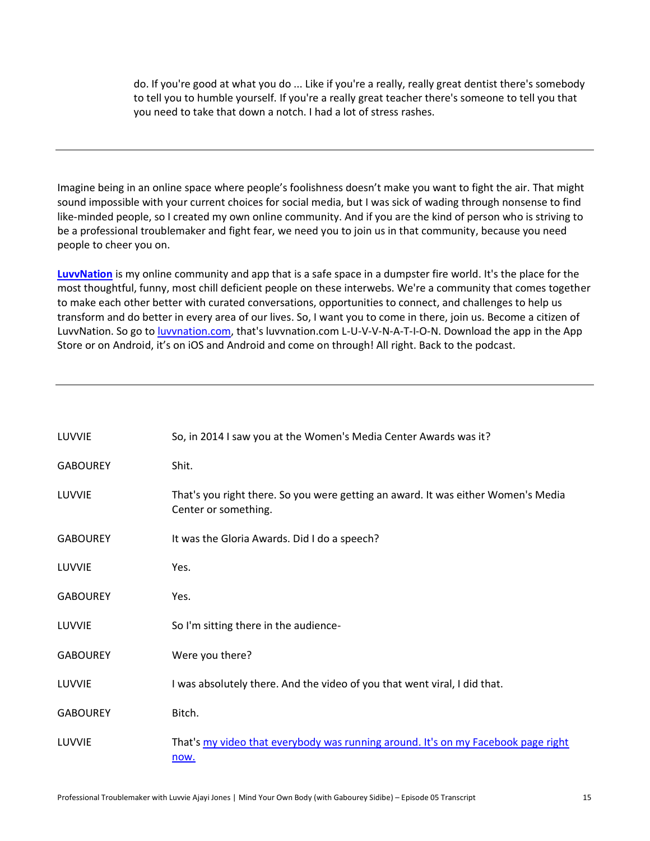do. If you're good at what you do ... Like if you're a really, really great dentist there's somebody to tell you to humble yourself. If you're a really great teacher there's someone to tell you that you need to take that down a notch. I had a lot of stress rashes.

Imagine being in an online space where people's foolishness doesn't make you want to fight the air. That might sound impossible with your current choices for social media, but I was sick of wading through nonsense to find like-minded people, so I created my own online community. And if you are the kind of person who is striving to be a professional troublemaker and fight fear, we need you to join us in that community, because you need people to cheer you on.

**[LuvvNation](http://luvvnation.com/)** is my online community and app that is a safe space in a dumpster fire world. It's the place for the most thoughtful, funny, most chill deficient people on these interwebs. We're a community that comes together to make each other better with curated conversations, opportunities to connect, and challenges to help us transform and do better in every area of our lives. So, I want you to come in there, join us. Become a citizen of LuvvNation. So go t[o luvvnation.com,](http://luvvnation.com/) that's luvvnation.com L-U-V-V-N-A-T-I-O-N. Download the app in the App Store or on Android, it's on iOS and Android and come on through! All right. Back to the podcast.

| LUVVIE          | So, in 2014 I saw you at the Women's Media Center Awards was it?                                          |
|-----------------|-----------------------------------------------------------------------------------------------------------|
| <b>GABOUREY</b> | Shit.                                                                                                     |
| LUVVIE          | That's you right there. So you were getting an award. It was either Women's Media<br>Center or something. |
| <b>GABOUREY</b> | It was the Gloria Awards. Did I do a speech?                                                              |
| LUVVIE          | Yes.                                                                                                      |
| <b>GABOUREY</b> | Yes.                                                                                                      |
| LUVVIE          | So I'm sitting there in the audience-                                                                     |
| <b>GABOUREY</b> | Were you there?                                                                                           |
| LUVVIE          | I was absolutely there. And the video of you that went viral, I did that.                                 |
| <b>GABOUREY</b> | Bitch.                                                                                                    |
| LUVVIE          | That's my video that everybody was running around. It's on my Facebook page right<br>now.                 |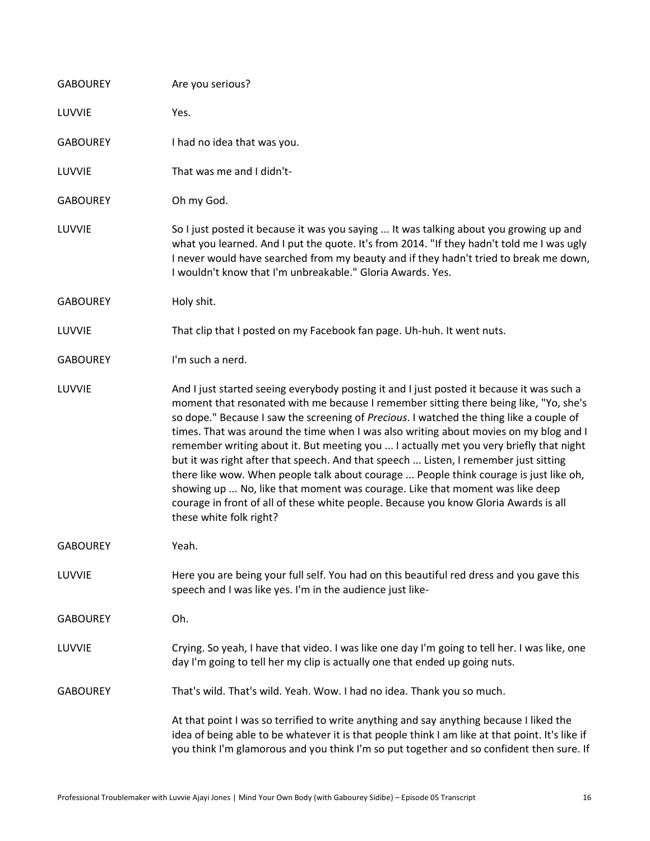| <b>GABOUREY</b> | Are you serious?                                                                                                                                                                                                                                                                                                                                                                                                                                                                                                                                                                                                                                                                                                                                                                                                                                     |
|-----------------|------------------------------------------------------------------------------------------------------------------------------------------------------------------------------------------------------------------------------------------------------------------------------------------------------------------------------------------------------------------------------------------------------------------------------------------------------------------------------------------------------------------------------------------------------------------------------------------------------------------------------------------------------------------------------------------------------------------------------------------------------------------------------------------------------------------------------------------------------|
| LUVVIE          | Yes.                                                                                                                                                                                                                                                                                                                                                                                                                                                                                                                                                                                                                                                                                                                                                                                                                                                 |
| <b>GABOUREY</b> | I had no idea that was you.                                                                                                                                                                                                                                                                                                                                                                                                                                                                                                                                                                                                                                                                                                                                                                                                                          |
| LUVVIE          | That was me and I didn't-                                                                                                                                                                                                                                                                                                                                                                                                                                                                                                                                                                                                                                                                                                                                                                                                                            |
| <b>GABOUREY</b> | Oh my God.                                                                                                                                                                                                                                                                                                                                                                                                                                                                                                                                                                                                                                                                                                                                                                                                                                           |
| LUVVIE          | So I just posted it because it was you saying  It was talking about you growing up and<br>what you learned. And I put the quote. It's from 2014. "If they hadn't told me I was ugly<br>I never would have searched from my beauty and if they hadn't tried to break me down,<br>I wouldn't know that I'm unbreakable." Gloria Awards. Yes.                                                                                                                                                                                                                                                                                                                                                                                                                                                                                                           |
| <b>GABOUREY</b> | Holy shit.                                                                                                                                                                                                                                                                                                                                                                                                                                                                                                                                                                                                                                                                                                                                                                                                                                           |
| LUVVIE          | That clip that I posted on my Facebook fan page. Uh-huh. It went nuts.                                                                                                                                                                                                                                                                                                                                                                                                                                                                                                                                                                                                                                                                                                                                                                               |
| <b>GABOUREY</b> | I'm such a nerd.                                                                                                                                                                                                                                                                                                                                                                                                                                                                                                                                                                                                                                                                                                                                                                                                                                     |
| LUVVIE          | And I just started seeing everybody posting it and I just posted it because it was such a<br>moment that resonated with me because I remember sitting there being like, "Yo, she's<br>so dope." Because I saw the screening of Precious. I watched the thing like a couple of<br>times. That was around the time when I was also writing about movies on my blog and I<br>remember writing about it. But meeting you  I actually met you very briefly that night<br>but it was right after that speech. And that speech  Listen, I remember just sitting<br>there like wow. When people talk about courage  People think courage is just like oh,<br>showing up  No, like that moment was courage. Like that moment was like deep<br>courage in front of all of these white people. Because you know Gloria Awards is all<br>these white folk right? |
| <b>GABOUREY</b> | Yeah.                                                                                                                                                                                                                                                                                                                                                                                                                                                                                                                                                                                                                                                                                                                                                                                                                                                |
| LUVVIE          | Here you are being your full self. You had on this beautiful red dress and you gave this<br>speech and I was like yes. I'm in the audience just like-                                                                                                                                                                                                                                                                                                                                                                                                                                                                                                                                                                                                                                                                                                |
| <b>GABOUREY</b> | Oh.                                                                                                                                                                                                                                                                                                                                                                                                                                                                                                                                                                                                                                                                                                                                                                                                                                                  |
| LUVVIE          | Crying. So yeah, I have that video. I was like one day I'm going to tell her. I was like, one<br>day I'm going to tell her my clip is actually one that ended up going nuts.                                                                                                                                                                                                                                                                                                                                                                                                                                                                                                                                                                                                                                                                         |
| <b>GABOUREY</b> | That's wild. That's wild. Yeah. Wow. I had no idea. Thank you so much.                                                                                                                                                                                                                                                                                                                                                                                                                                                                                                                                                                                                                                                                                                                                                                               |
|                 | At that point I was so terrified to write anything and say anything because I liked the<br>idea of being able to be whatever it is that people think I am like at that point. It's like if<br>you think I'm glamorous and you think I'm so put together and so confident then sure. If                                                                                                                                                                                                                                                                                                                                                                                                                                                                                                                                                               |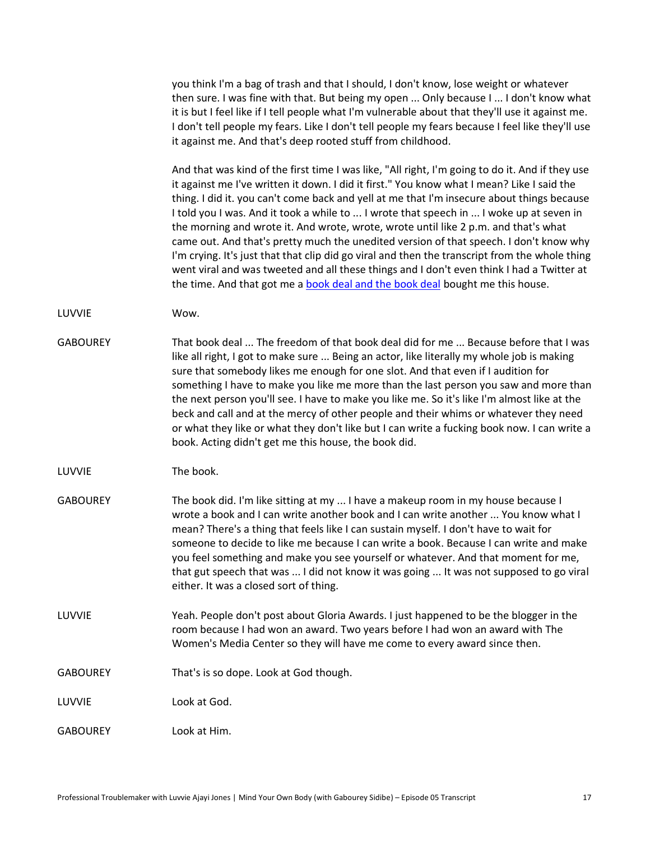you think I'm a bag of trash and that I should, I don't know, lose weight or whatever then sure. I was fine with that. But being my open ... Only because I ... I don't know what it is but I feel like if I tell people what I'm vulnerable about that they'll use it against me. I don't tell people my fears. Like I don't tell people my fears because I feel like they'll use it against me. And that's deep rooted stuff from childhood.

And that was kind of the first time I was like, "All right, I'm going to do it. And if they use it against me I've written it down. I did it first." You know what I mean? Like I said the thing. I did it. you can't come back and yell at me that I'm insecure about things because I told you I was. And it took a while to ... I wrote that speech in ... I woke up at seven in the morning and wrote it. And wrote, wrote, wrote until like 2 p.m. and that's what came out. And that's pretty much the unedited version of that speech. I don't know why I'm crying. It's just that that clip did go viral and then the transcript from the whole thing went viral and was tweeted and all these things and I don't even think I had a Twitter at the time. And that got me a [book deal and the book deal](https://amzn.to/39zPZ7C) bought me this house.

LUVVIE Wow.

GABOUREY That book deal ... The freedom of that book deal did for me ... Because before that I was like all right, I got to make sure ... Being an actor, like literally my whole job is making sure that somebody likes me enough for one slot. And that even if I audition for something I have to make you like me more than the last person you saw and more than the next person you'll see. I have to make you like me. So it's like I'm almost like at the beck and call and at the mercy of other people and their whims or whatever they need or what they like or what they don't like but I can write a fucking book now. I can write a book. Acting didn't get me this house, the book did.

LUVVIE The book.

- GABOUREY The book did. I'm like sitting at my ... I have a makeup room in my house because I wrote a book and I can write another book and I can write another ... You know what I mean? There's a thing that feels like I can sustain myself. I don't have to wait for someone to decide to like me because I can write a book. Because I can write and make you feel something and make you see yourself or whatever. And that moment for me, that gut speech that was ... I did not know it was going ... It was not supposed to go viral either. It was a closed sort of thing.
- LUVVIE Yeah. People don't post about Gloria Awards. I just happened to be the blogger in the room because I had won an award. Two years before I had won an award with The Women's Media Center so they will have me come to every award since then.
- GABOUREY That's is so dope. Look at God though.
- LUVVIE Look at God.

GABOUREY Look at Him.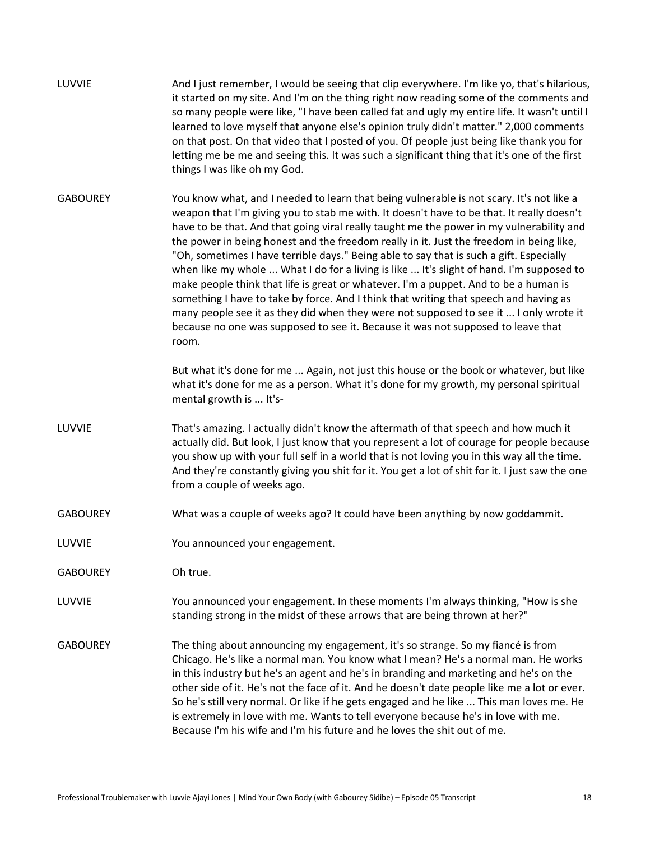| LUVVIE          | And I just remember, I would be seeing that clip everywhere. I'm like yo, that's hilarious,<br>it started on my site. And I'm on the thing right now reading some of the comments and<br>so many people were like, "I have been called fat and ugly my entire life. It wasn't until I<br>learned to love myself that anyone else's opinion truly didn't matter." 2,000 comments<br>on that post. On that video that I posted of you. Of people just being like thank you for<br>letting me be me and seeing this. It was such a significant thing that it's one of the first<br>things I was like oh my God.                                                                                                                                                                                                                                                                                                                               |
|-----------------|--------------------------------------------------------------------------------------------------------------------------------------------------------------------------------------------------------------------------------------------------------------------------------------------------------------------------------------------------------------------------------------------------------------------------------------------------------------------------------------------------------------------------------------------------------------------------------------------------------------------------------------------------------------------------------------------------------------------------------------------------------------------------------------------------------------------------------------------------------------------------------------------------------------------------------------------|
| <b>GABOUREY</b> | You know what, and I needed to learn that being vulnerable is not scary. It's not like a<br>weapon that I'm giving you to stab me with. It doesn't have to be that. It really doesn't<br>have to be that. And that going viral really taught me the power in my vulnerability and<br>the power in being honest and the freedom really in it. Just the freedom in being like,<br>"Oh, sometimes I have terrible days." Being able to say that is such a gift. Especially<br>when like my whole  What I do for a living is like  It's slight of hand. I'm supposed to<br>make people think that life is great or whatever. I'm a puppet. And to be a human is<br>something I have to take by force. And I think that writing that speech and having as<br>many people see it as they did when they were not supposed to see it  I only wrote it<br>because no one was supposed to see it. Because it was not supposed to leave that<br>room. |
|                 | But what it's done for me  Again, not just this house or the book or whatever, but like<br>what it's done for me as a person. What it's done for my growth, my personal spiritual<br>mental growth is  It's-                                                                                                                                                                                                                                                                                                                                                                                                                                                                                                                                                                                                                                                                                                                               |
| LUVVIE          | That's amazing. I actually didn't know the aftermath of that speech and how much it<br>actually did. But look, I just know that you represent a lot of courage for people because<br>you show up with your full self in a world that is not loving you in this way all the time.<br>And they're constantly giving you shit for it. You get a lot of shit for it. I just saw the one<br>from a couple of weeks ago.                                                                                                                                                                                                                                                                                                                                                                                                                                                                                                                         |
| <b>GABOUREY</b> | What was a couple of weeks ago? It could have been anything by now goddammit.                                                                                                                                                                                                                                                                                                                                                                                                                                                                                                                                                                                                                                                                                                                                                                                                                                                              |
| LUVVIE          | You announced your engagement.                                                                                                                                                                                                                                                                                                                                                                                                                                                                                                                                                                                                                                                                                                                                                                                                                                                                                                             |
| <b>GABOUREY</b> | Oh true.                                                                                                                                                                                                                                                                                                                                                                                                                                                                                                                                                                                                                                                                                                                                                                                                                                                                                                                                   |
| LUVVIE          | You announced your engagement. In these moments I'm always thinking, "How is she<br>standing strong in the midst of these arrows that are being thrown at her?"                                                                                                                                                                                                                                                                                                                                                                                                                                                                                                                                                                                                                                                                                                                                                                            |
| <b>GABOUREY</b> | The thing about announcing my engagement, it's so strange. So my fiancé is from<br>Chicago. He's like a normal man. You know what I mean? He's a normal man. He works<br>in this industry but he's an agent and he's in branding and marketing and he's on the<br>other side of it. He's not the face of it. And he doesn't date people like me a lot or ever.<br>So he's still very normal. Or like if he gets engaged and he like  This man loves me. He<br>is extremely in love with me. Wants to tell everyone because he's in love with me.<br>Because I'm his wife and I'm his future and he loves the shit out of me.                                                                                                                                                                                                                                                                                                               |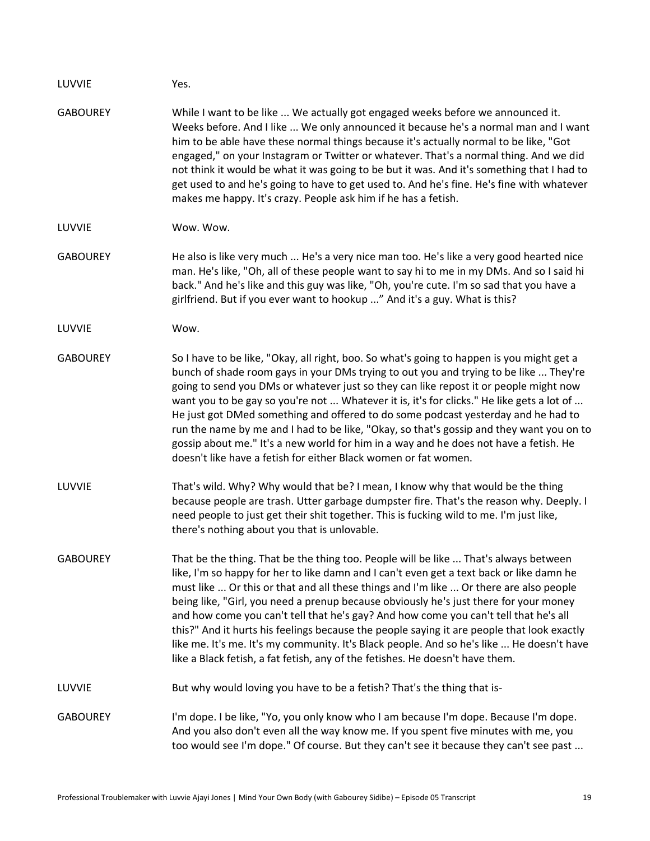| LUVVIE          | Yes.                                                                                                                                                                                                                                                                                                                                                                                                                                                                                                                                                                                                                                                                                                                                    |
|-----------------|-----------------------------------------------------------------------------------------------------------------------------------------------------------------------------------------------------------------------------------------------------------------------------------------------------------------------------------------------------------------------------------------------------------------------------------------------------------------------------------------------------------------------------------------------------------------------------------------------------------------------------------------------------------------------------------------------------------------------------------------|
| <b>GABOUREY</b> | While I want to be like  We actually got engaged weeks before we announced it.<br>Weeks before. And I like  We only announced it because he's a normal man and I want<br>him to be able have these normal things because it's actually normal to be like, "Got<br>engaged," on your Instagram or Twitter or whatever. That's a normal thing. And we did<br>not think it would be what it was going to be but it was. And it's something that I had to<br>get used to and he's going to have to get used to. And he's fine. He's fine with whatever<br>makes me happy. It's crazy. People ask him if he has a fetish.                                                                                                                    |
| LUVVIE          | Wow. Wow.                                                                                                                                                                                                                                                                                                                                                                                                                                                                                                                                                                                                                                                                                                                               |
| <b>GABOUREY</b> | He also is like very much  He's a very nice man too. He's like a very good hearted nice<br>man. He's like, "Oh, all of these people want to say hi to me in my DMs. And so I said hi<br>back." And he's like and this guy was like, "Oh, you're cute. I'm so sad that you have a<br>girlfriend. But if you ever want to hookup " And it's a guy. What is this?                                                                                                                                                                                                                                                                                                                                                                          |
| LUVVIE          | Wow.                                                                                                                                                                                                                                                                                                                                                                                                                                                                                                                                                                                                                                                                                                                                    |
| <b>GABOUREY</b> | So I have to be like, "Okay, all right, boo. So what's going to happen is you might get a<br>bunch of shade room gays in your DMs trying to out you and trying to be like  They're<br>going to send you DMs or whatever just so they can like repost it or people might now<br>want you to be gay so you're not  Whatever it is, it's for clicks." He like gets a lot of<br>He just got DMed something and offered to do some podcast yesterday and he had to<br>run the name by me and I had to be like, "Okay, so that's gossip and they want you on to<br>gossip about me." It's a new world for him in a way and he does not have a fetish. He<br>doesn't like have a fetish for either Black women or fat women.                   |
| LUVVIE          | That's wild. Why? Why would that be? I mean, I know why that would be the thing<br>because people are trash. Utter garbage dumpster fire. That's the reason why. Deeply. I<br>need people to just get their shit together. This is fucking wild to me. I'm just like,<br>there's nothing about you that is unlovable.                                                                                                                                                                                                                                                                                                                                                                                                                   |
| <b>GABOUREY</b> | That be the thing. That be the thing too. People will be like  That's always between<br>like, I'm so happy for her to like damn and I can't even get a text back or like damn he<br>must like  Or this or that and all these things and I'm like  Or there are also people<br>being like, "Girl, you need a prenup because obviously he's just there for your money<br>and how come you can't tell that he's gay? And how come you can't tell that he's all<br>this?" And it hurts his feelings because the people saying it are people that look exactly<br>like me. It's me. It's my community. It's Black people. And so he's like  He doesn't have<br>like a Black fetish, a fat fetish, any of the fetishes. He doesn't have them. |
| LUVVIE          | But why would loving you have to be a fetish? That's the thing that is-                                                                                                                                                                                                                                                                                                                                                                                                                                                                                                                                                                                                                                                                 |
| <b>GABOUREY</b> | I'm dope. I be like, "Yo, you only know who I am because I'm dope. Because I'm dope.<br>And you also don't even all the way know me. If you spent five minutes with me, you<br>too would see I'm dope." Of course. But they can't see it because they can't see past                                                                                                                                                                                                                                                                                                                                                                                                                                                                    |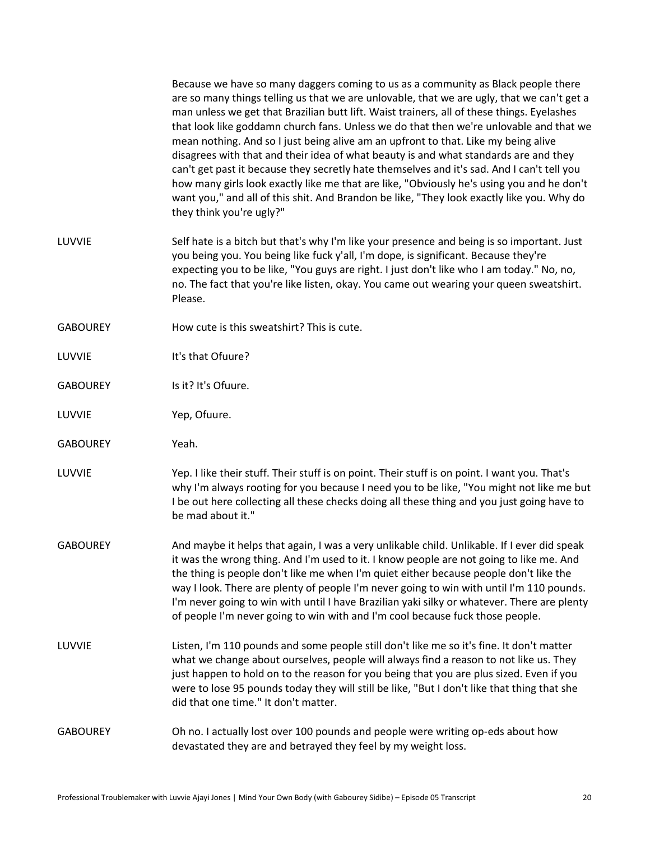|                 | Because we have so many daggers coming to us as a community as Black people there<br>are so many things telling us that we are unlovable, that we are ugly, that we can't get a<br>man unless we get that Brazilian butt lift. Waist trainers, all of these things. Eyelashes<br>that look like goddamn church fans. Unless we do that then we're unlovable and that we<br>mean nothing. And so I just being alive am an upfront to that. Like my being alive<br>disagrees with that and their idea of what beauty is and what standards are and they<br>can't get past it because they secretly hate themselves and it's sad. And I can't tell you<br>how many girls look exactly like me that are like, "Obviously he's using you and he don't<br>want you," and all of this shit. And Brandon be like, "They look exactly like you. Why do<br>they think you're ugly?" |
|-----------------|---------------------------------------------------------------------------------------------------------------------------------------------------------------------------------------------------------------------------------------------------------------------------------------------------------------------------------------------------------------------------------------------------------------------------------------------------------------------------------------------------------------------------------------------------------------------------------------------------------------------------------------------------------------------------------------------------------------------------------------------------------------------------------------------------------------------------------------------------------------------------|
| LUVVIE          | Self hate is a bitch but that's why I'm like your presence and being is so important. Just<br>you being you. You being like fuck y'all, I'm dope, is significant. Because they're<br>expecting you to be like, "You guys are right. I just don't like who I am today." No, no,<br>no. The fact that you're like listen, okay. You came out wearing your queen sweatshirt.<br>Please.                                                                                                                                                                                                                                                                                                                                                                                                                                                                                      |
| <b>GABOUREY</b> | How cute is this sweatshirt? This is cute.                                                                                                                                                                                                                                                                                                                                                                                                                                                                                                                                                                                                                                                                                                                                                                                                                                |
| LUVVIE          | It's that Ofuure?                                                                                                                                                                                                                                                                                                                                                                                                                                                                                                                                                                                                                                                                                                                                                                                                                                                         |
| <b>GABOUREY</b> | Is it? It's Ofuure.                                                                                                                                                                                                                                                                                                                                                                                                                                                                                                                                                                                                                                                                                                                                                                                                                                                       |
| LUVVIE          | Yep, Ofuure.                                                                                                                                                                                                                                                                                                                                                                                                                                                                                                                                                                                                                                                                                                                                                                                                                                                              |
| <b>GABOUREY</b> | Yeah.                                                                                                                                                                                                                                                                                                                                                                                                                                                                                                                                                                                                                                                                                                                                                                                                                                                                     |
| LUVVIE          | Yep. I like their stuff. Their stuff is on point. Their stuff is on point. I want you. That's<br>why I'm always rooting for you because I need you to be like, "You might not like me but<br>I be out here collecting all these checks doing all these thing and you just going have to<br>be mad about it."                                                                                                                                                                                                                                                                                                                                                                                                                                                                                                                                                              |
| <b>GABOUREY</b> | And maybe it helps that again, I was a very unlikable child. Unlikable. If I ever did speak<br>it was the wrong thing. And I'm used to it. I know people are not going to like me. And<br>the thing is people don't like me when I'm quiet either because people don't like the<br>way I look. There are plenty of people I'm never going to win with until I'm 110 pounds.<br>I'm never going to win with until I have Brazilian yaki silky or whatever. There are plenty<br>of people I'm never going to win with and I'm cool because fuck those people.                                                                                                                                                                                                                                                                                                               |
| LUVVIE          | Listen, I'm 110 pounds and some people still don't like me so it's fine. It don't matter<br>what we change about ourselves, people will always find a reason to not like us. They<br>just happen to hold on to the reason for you being that you are plus sized. Even if you<br>were to lose 95 pounds today they will still be like, "But I don't like that thing that she<br>did that one time." It don't matter.                                                                                                                                                                                                                                                                                                                                                                                                                                                       |
| <b>GABOUREY</b> | Oh no. I actually lost over 100 pounds and people were writing op-eds about how<br>devastated they are and betrayed they feel by my weight loss.                                                                                                                                                                                                                                                                                                                                                                                                                                                                                                                                                                                                                                                                                                                          |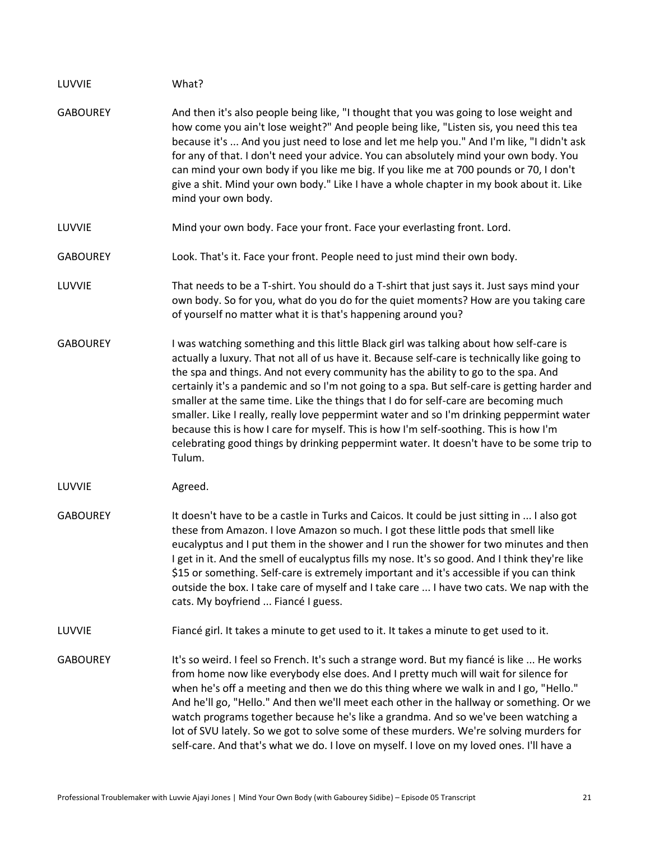| LUVVIE          | What?                                                                                                                                                                                                                                                                                                                                                                                                                                                                                                                                                                                                                                                                                                                                                           |
|-----------------|-----------------------------------------------------------------------------------------------------------------------------------------------------------------------------------------------------------------------------------------------------------------------------------------------------------------------------------------------------------------------------------------------------------------------------------------------------------------------------------------------------------------------------------------------------------------------------------------------------------------------------------------------------------------------------------------------------------------------------------------------------------------|
| <b>GABOUREY</b> | And then it's also people being like, "I thought that you was going to lose weight and<br>how come you ain't lose weight?" And people being like, "Listen sis, you need this tea<br>because it's  And you just need to lose and let me help you." And I'm like, "I didn't ask<br>for any of that. I don't need your advice. You can absolutely mind your own body. You<br>can mind your own body if you like me big. If you like me at 700 pounds or 70, I don't<br>give a shit. Mind your own body." Like I have a whole chapter in my book about it. Like<br>mind your own body.                                                                                                                                                                              |
| LUVVIE          | Mind your own body. Face your front. Face your everlasting front. Lord.                                                                                                                                                                                                                                                                                                                                                                                                                                                                                                                                                                                                                                                                                         |
| <b>GABOUREY</b> | Look. That's it. Face your front. People need to just mind their own body.                                                                                                                                                                                                                                                                                                                                                                                                                                                                                                                                                                                                                                                                                      |
| LUVVIE          | That needs to be a T-shirt. You should do a T-shirt that just says it. Just says mind your<br>own body. So for you, what do you do for the quiet moments? How are you taking care<br>of yourself no matter what it is that's happening around you?                                                                                                                                                                                                                                                                                                                                                                                                                                                                                                              |
| <b>GABOUREY</b> | I was watching something and this little Black girl was talking about how self-care is<br>actually a luxury. That not all of us have it. Because self-care is technically like going to<br>the spa and things. And not every community has the ability to go to the spa. And<br>certainly it's a pandemic and so I'm not going to a spa. But self-care is getting harder and<br>smaller at the same time. Like the things that I do for self-care are becoming much<br>smaller. Like I really, really love peppermint water and so I'm drinking peppermint water<br>because this is how I care for myself. This is how I'm self-soothing. This is how I'm<br>celebrating good things by drinking peppermint water. It doesn't have to be some trip to<br>Tulum. |
| LUVVIE          | Agreed.                                                                                                                                                                                                                                                                                                                                                                                                                                                                                                                                                                                                                                                                                                                                                         |
| <b>GABOUREY</b> | It doesn't have to be a castle in Turks and Caicos. It could be just sitting in  I also got<br>these from Amazon. I love Amazon so much. I got these little pods that smell like<br>eucalyptus and I put them in the shower and I run the shower for two minutes and then<br>I get in it. And the smell of eucalyptus fills my nose. It's so good. And I think they're like<br>\$15 or something. Self-care is extremely important and it's accessible if you can think<br>outside the box. I take care of myself and I take care  I have two cats. We nap with the<br>cats. My boyfriend  Fiancé I guess.                                                                                                                                                      |
| LUVVIE          | Fiancé girl. It takes a minute to get used to it. It takes a minute to get used to it.                                                                                                                                                                                                                                                                                                                                                                                                                                                                                                                                                                                                                                                                          |
| <b>GABOUREY</b> | It's so weird. I feel so French. It's such a strange word. But my fiancé is like  He works<br>from home now like everybody else does. And I pretty much will wait for silence for<br>when he's off a meeting and then we do this thing where we walk in and I go, "Hello."<br>And he'll go, "Hello." And then we'll meet each other in the hallway or something. Or we<br>watch programs together because he's like a grandma. And so we've been watching a<br>lot of SVU lately. So we got to solve some of these murders. We're solving murders for<br>self-care. And that's what we do. I love on myself. I love on my loved ones. I'll have a                                                                                                               |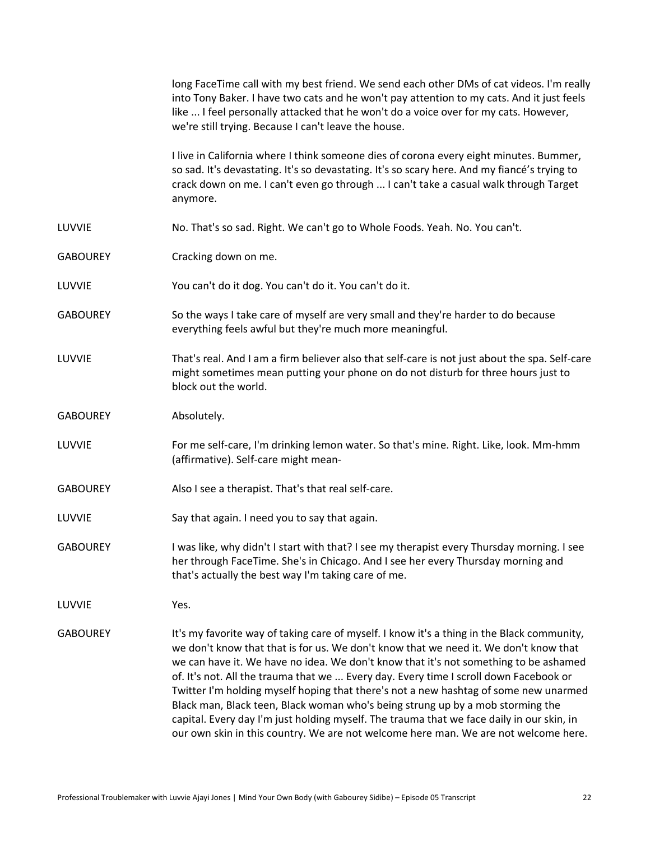|                 | long FaceTime call with my best friend. We send each other DMs of cat videos. I'm really<br>into Tony Baker. I have two cats and he won't pay attention to my cats. And it just feels<br>like  I feel personally attacked that he won't do a voice over for my cats. However,<br>we're still trying. Because I can't leave the house.                                                                                                                                                                                                                                                                                                                                                                                             |
|-----------------|-----------------------------------------------------------------------------------------------------------------------------------------------------------------------------------------------------------------------------------------------------------------------------------------------------------------------------------------------------------------------------------------------------------------------------------------------------------------------------------------------------------------------------------------------------------------------------------------------------------------------------------------------------------------------------------------------------------------------------------|
|                 | I live in California where I think someone dies of corona every eight minutes. Bummer,<br>so sad. It's devastating. It's so devastating. It's so scary here. And my fiancé's trying to<br>crack down on me. I can't even go through  I can't take a casual walk through Target<br>anymore.                                                                                                                                                                                                                                                                                                                                                                                                                                        |
| LUVVIE          | No. That's so sad. Right. We can't go to Whole Foods. Yeah. No. You can't.                                                                                                                                                                                                                                                                                                                                                                                                                                                                                                                                                                                                                                                        |
| <b>GABOUREY</b> | Cracking down on me.                                                                                                                                                                                                                                                                                                                                                                                                                                                                                                                                                                                                                                                                                                              |
| LUVVIE          | You can't do it dog. You can't do it. You can't do it.                                                                                                                                                                                                                                                                                                                                                                                                                                                                                                                                                                                                                                                                            |
| <b>GABOUREY</b> | So the ways I take care of myself are very small and they're harder to do because<br>everything feels awful but they're much more meaningful.                                                                                                                                                                                                                                                                                                                                                                                                                                                                                                                                                                                     |
| LUVVIE          | That's real. And I am a firm believer also that self-care is not just about the spa. Self-care<br>might sometimes mean putting your phone on do not disturb for three hours just to<br>block out the world.                                                                                                                                                                                                                                                                                                                                                                                                                                                                                                                       |
| <b>GABOUREY</b> | Absolutely.                                                                                                                                                                                                                                                                                                                                                                                                                                                                                                                                                                                                                                                                                                                       |
| LUVVIE          | For me self-care, I'm drinking lemon water. So that's mine. Right. Like, look. Mm-hmm<br>(affirmative). Self-care might mean-                                                                                                                                                                                                                                                                                                                                                                                                                                                                                                                                                                                                     |
| <b>GABOUREY</b> | Also I see a therapist. That's that real self-care.                                                                                                                                                                                                                                                                                                                                                                                                                                                                                                                                                                                                                                                                               |
| LUVVIE          | Say that again. I need you to say that again.                                                                                                                                                                                                                                                                                                                                                                                                                                                                                                                                                                                                                                                                                     |
| <b>GABOUREY</b> | I was like, why didn't I start with that? I see my therapist every Thursday morning. I see<br>her through FaceTime. She's in Chicago. And I see her every Thursday morning and<br>that's actually the best way I'm taking care of me.                                                                                                                                                                                                                                                                                                                                                                                                                                                                                             |
| LUVVIE          | Yes.                                                                                                                                                                                                                                                                                                                                                                                                                                                                                                                                                                                                                                                                                                                              |
| <b>GABOUREY</b> | It's my favorite way of taking care of myself. I know it's a thing in the Black community,<br>we don't know that that is for us. We don't know that we need it. We don't know that<br>we can have it. We have no idea. We don't know that it's not something to be ashamed<br>of. It's not. All the trauma that we  Every day. Every time I scroll down Facebook or<br>Twitter I'm holding myself hoping that there's not a new hashtag of some new unarmed<br>Black man, Black teen, Black woman who's being strung up by a mob storming the<br>capital. Every day I'm just holding myself. The trauma that we face daily in our skin, in<br>our own skin in this country. We are not welcome here man. We are not welcome here. |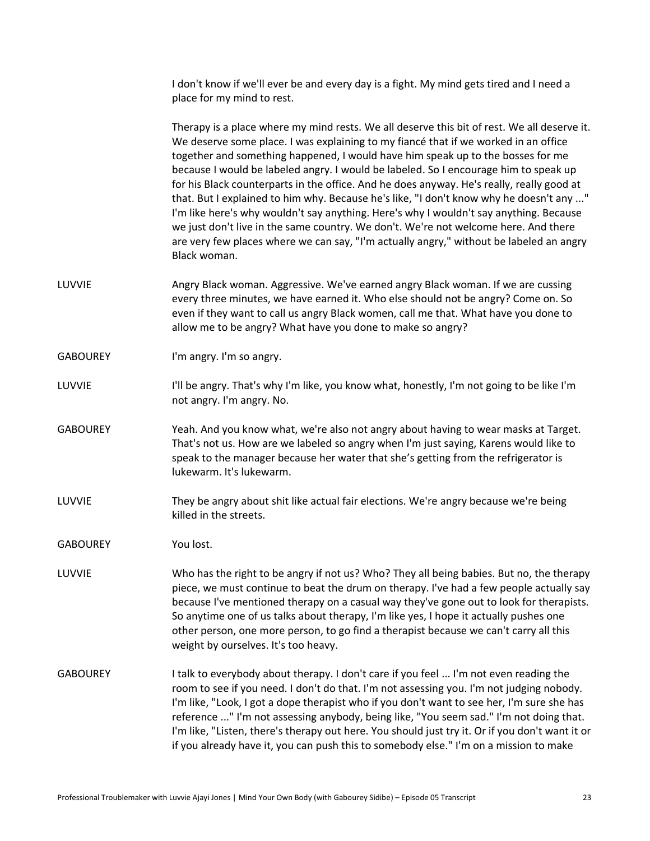I don't know if we'll ever be and every day is a fight. My mind gets tired and I need a place for my mind to rest.

Therapy is a place where my mind rests. We all deserve this bit of rest. We all deserve it. We deserve some place. I was explaining to my fiancé that if we worked in an office together and something happened, I would have him speak up to the bosses for me because I would be labeled angry. I would be labeled. So I encourage him to speak up for his Black counterparts in the office. And he does anyway. He's really, really good at that. But I explained to him why. Because he's like, "I don't know why he doesn't any ..." I'm like here's why wouldn't say anything. Here's why I wouldn't say anything. Because we just don't live in the same country. We don't. We're not welcome here. And there are very few places where we can say, "I'm actually angry," without be labeled an angry Black woman.

- LUVVIE **Angry Black woman. Aggressive. We've earned angry Black woman. If we are cussing** every three minutes, we have earned it. Who else should not be angry? Come on. So even if they want to call us angry Black women, call me that. What have you done to allow me to be angry? What have you done to make so angry?
- GABOUREY I'm angry. I'm so angry.
- LUVVIE I'll be angry. That's why I'm like, you know what, honestly, I'm not going to be like I'm not angry. I'm angry. No.
- GABOUREY Yeah. And you know what, we're also not angry about having to wear masks at Target. That's not us. How are we labeled so angry when I'm just saying, Karens would like to speak to the manager because her water that she's getting from the refrigerator is lukewarm. It's lukewarm.
- LUVVIE They be angry about shit like actual fair elections. We're angry because we're being killed in the streets.
- GABOUREY You lost.
- LUVVIE Who has the right to be angry if not us? Who? They all being babies. But no, the therapy piece, we must continue to beat the drum on therapy. I've had a few people actually say because I've mentioned therapy on a casual way they've gone out to look for therapists. So anytime one of us talks about therapy, I'm like yes, I hope it actually pushes one other person, one more person, to go find a therapist because we can't carry all this weight by ourselves. It's too heavy.
- GABOUREY I talk to everybody about therapy. I don't care if you feel ... I'm not even reading the room to see if you need. I don't do that. I'm not assessing you. I'm not judging nobody. I'm like, "Look, I got a dope therapist who if you don't want to see her, I'm sure she has reference ..." I'm not assessing anybody, being like, "You seem sad." I'm not doing that. I'm like, "Listen, there's therapy out here. You should just try it. Or if you don't want it or if you already have it, you can push this to somebody else." I'm on a mission to make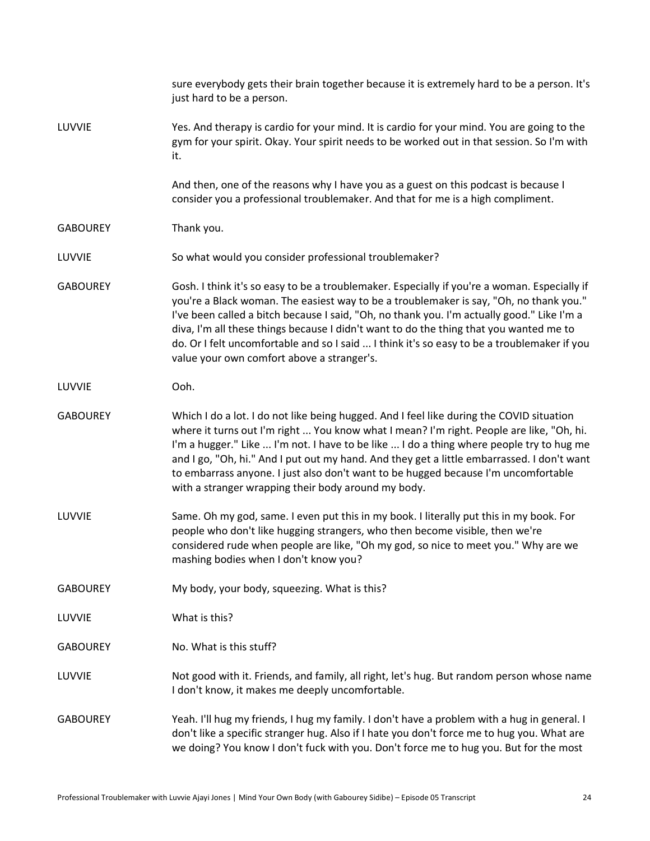|                 | sure everybody gets their brain together because it is extremely hard to be a person. It's<br>just hard to be a person.                                                                                                                                                                                                                                                                                                                                                                                                     |
|-----------------|-----------------------------------------------------------------------------------------------------------------------------------------------------------------------------------------------------------------------------------------------------------------------------------------------------------------------------------------------------------------------------------------------------------------------------------------------------------------------------------------------------------------------------|
| LUVVIE          | Yes. And therapy is cardio for your mind. It is cardio for your mind. You are going to the<br>gym for your spirit. Okay. Your spirit needs to be worked out in that session. So I'm with<br>it.                                                                                                                                                                                                                                                                                                                             |
|                 | And then, one of the reasons why I have you as a guest on this podcast is because I<br>consider you a professional troublemaker. And that for me is a high compliment.                                                                                                                                                                                                                                                                                                                                                      |
| <b>GABOUREY</b> | Thank you.                                                                                                                                                                                                                                                                                                                                                                                                                                                                                                                  |
| LUVVIE          | So what would you consider professional troublemaker?                                                                                                                                                                                                                                                                                                                                                                                                                                                                       |
| <b>GABOUREY</b> | Gosh. I think it's so easy to be a troublemaker. Especially if you're a woman. Especially if<br>you're a Black woman. The easiest way to be a troublemaker is say, "Oh, no thank you."<br>I've been called a bitch because I said, "Oh, no thank you. I'm actually good." Like I'm a<br>diva, I'm all these things because I didn't want to do the thing that you wanted me to<br>do. Or I felt uncomfortable and so I said  I think it's so easy to be a troublemaker if you<br>value your own comfort above a stranger's. |
| LUVVIE          | Ooh.                                                                                                                                                                                                                                                                                                                                                                                                                                                                                                                        |
| <b>GABOUREY</b> | Which I do a lot. I do not like being hugged. And I feel like during the COVID situation<br>where it turns out I'm right  You know what I mean? I'm right. People are like, "Oh, hi.<br>I'm a hugger." Like  I'm not. I have to be like  I do a thing where people try to hug me<br>and I go, "Oh, hi." And I put out my hand. And they get a little embarrassed. I don't want<br>to embarrass anyone. I just also don't want to be hugged because I'm uncomfortable<br>with a stranger wrapping their body around my body. |
| LUVVIE          | Same. Oh my god, same. I even put this in my book. I literally put this in my book. For<br>people who don't like hugging strangers, who then become visible, then we're<br>considered rude when people are like, "Oh my god, so nice to meet you." Why are we<br>mashing bodies when I don't know you?                                                                                                                                                                                                                      |
| <b>GABOUREY</b> | My body, your body, squeezing. What is this?                                                                                                                                                                                                                                                                                                                                                                                                                                                                                |
| LUVVIE          | What is this?                                                                                                                                                                                                                                                                                                                                                                                                                                                                                                               |
| <b>GABOUREY</b> | No. What is this stuff?                                                                                                                                                                                                                                                                                                                                                                                                                                                                                                     |
| LUVVIE          | Not good with it. Friends, and family, all right, let's hug. But random person whose name<br>I don't know, it makes me deeply uncomfortable.                                                                                                                                                                                                                                                                                                                                                                                |
| <b>GABOUREY</b> | Yeah. I'll hug my friends, I hug my family. I don't have a problem with a hug in general. I<br>don't like a specific stranger hug. Also if I hate you don't force me to hug you. What are<br>we doing? You know I don't fuck with you. Don't force me to hug you. But for the most                                                                                                                                                                                                                                          |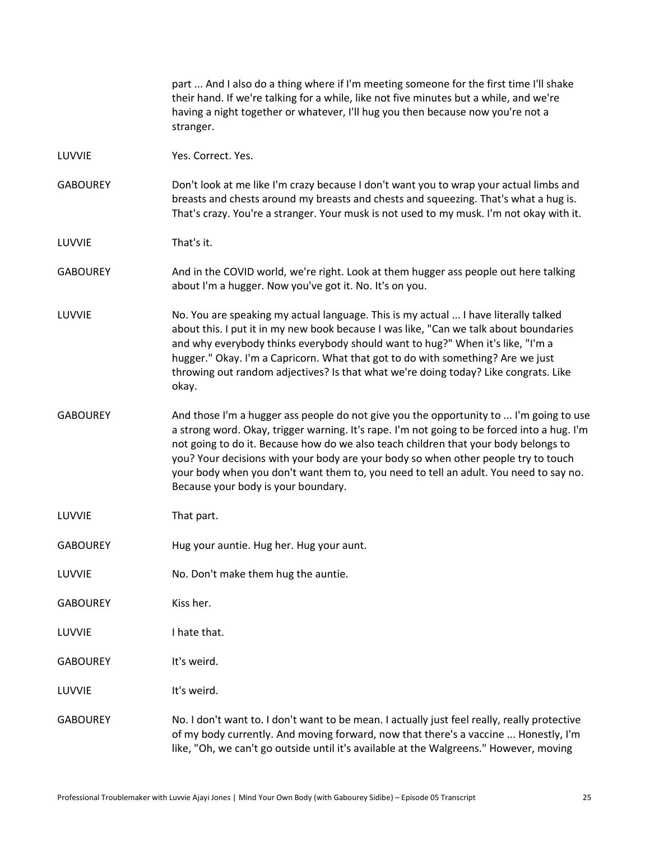|                 | part  And I also do a thing where if I'm meeting someone for the first time I'll shake<br>their hand. If we're talking for a while, like not five minutes but a while, and we're<br>having a night together or whatever, I'll hug you then because now you're not a<br>stranger.                                                                                                                                                                                                                   |
|-----------------|----------------------------------------------------------------------------------------------------------------------------------------------------------------------------------------------------------------------------------------------------------------------------------------------------------------------------------------------------------------------------------------------------------------------------------------------------------------------------------------------------|
| LUVVIE          | Yes. Correct. Yes.                                                                                                                                                                                                                                                                                                                                                                                                                                                                                 |
| <b>GABOUREY</b> | Don't look at me like I'm crazy because I don't want you to wrap your actual limbs and<br>breasts and chests around my breasts and chests and squeezing. That's what a hug is.<br>That's crazy. You're a stranger. Your musk is not used to my musk. I'm not okay with it.                                                                                                                                                                                                                         |
| LUVVIE          | That's it.                                                                                                                                                                                                                                                                                                                                                                                                                                                                                         |
| <b>GABOUREY</b> | And in the COVID world, we're right. Look at them hugger ass people out here talking<br>about I'm a hugger. Now you've got it. No. It's on you.                                                                                                                                                                                                                                                                                                                                                    |
| LUVVIE          | No. You are speaking my actual language. This is my actual  I have literally talked<br>about this. I put it in my new book because I was like, "Can we talk about boundaries<br>and why everybody thinks everybody should want to hug?" When it's like, "I'm a<br>hugger." Okay. I'm a Capricorn. What that got to do with something? Are we just<br>throwing out random adjectives? Is that what we're doing today? Like congrats. Like<br>okay.                                                  |
| <b>GABOUREY</b> | And those I'm a hugger ass people do not give you the opportunity to  I'm going to use<br>a strong word. Okay, trigger warning. It's rape. I'm not going to be forced into a hug. I'm<br>not going to do it. Because how do we also teach children that your body belongs to<br>you? Your decisions with your body are your body so when other people try to touch<br>your body when you don't want them to, you need to tell an adult. You need to say no.<br>Because your body is your boundary. |
| LUVVIE          | That part.                                                                                                                                                                                                                                                                                                                                                                                                                                                                                         |
| <b>GABOUREY</b> | Hug your auntie. Hug her. Hug your aunt.                                                                                                                                                                                                                                                                                                                                                                                                                                                           |
| LUVVIE          | No. Don't make them hug the auntie.                                                                                                                                                                                                                                                                                                                                                                                                                                                                |
| <b>GABOUREY</b> | Kiss her.                                                                                                                                                                                                                                                                                                                                                                                                                                                                                          |
| LUVVIE          | I hate that.                                                                                                                                                                                                                                                                                                                                                                                                                                                                                       |
| <b>GABOUREY</b> | It's weird.                                                                                                                                                                                                                                                                                                                                                                                                                                                                                        |
| LUVVIE          | It's weird.                                                                                                                                                                                                                                                                                                                                                                                                                                                                                        |
| <b>GABOUREY</b> | No. I don't want to. I don't want to be mean. I actually just feel really, really protective<br>of my body currently. And moving forward, now that there's a vaccine  Honestly, I'm<br>like, "Oh, we can't go outside until it's available at the Walgreens." However, moving                                                                                                                                                                                                                      |